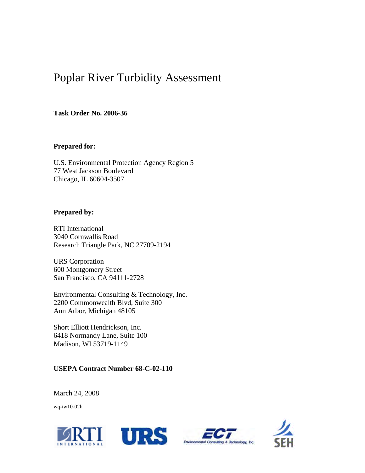# Poplar River Turbidity Assessment

#### **Task Order No. 2006-36**

#### **Prepared for:**

U.S. Environmental Protection Agency Region 5 77 West Jackson Boulevard Chicago, IL 60604-3507

#### **Prepared by:**

RTI International 3040 Cornwallis Road Research Triangle Park, NC 27709-2194

URS Corporation 600 Montgomery Street San Francisco, CA 94111-2728

Environmental Consulting & Technology, Inc. 2200 Commonwealth Blvd, Suite 300 Ann Arbor, Michigan 48105

Short Elliott Hendrickson, Inc. 6418 Normandy Lane, Suite 100 Madison, WI 53719-1149

#### **USEPA Contract Number 68-C-02-110**

March 24, 2008

wq-iw10-02h







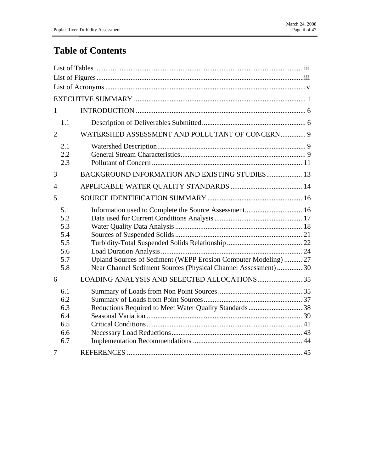# **Table of Contents**

| $\mathbf{1}$                                         |                                                                                                                                                                                             |  |
|------------------------------------------------------|---------------------------------------------------------------------------------------------------------------------------------------------------------------------------------------------|--|
| 1.1                                                  |                                                                                                                                                                                             |  |
| $\overline{2}$                                       | WATERSHED ASSESSMENT AND POLLUTANT OF CONCERN  9                                                                                                                                            |  |
| 2.1<br>2.2<br>2.3                                    |                                                                                                                                                                                             |  |
| 3                                                    | BACKGROUND INFORMATION AND EXISTING STUDIES 13                                                                                                                                              |  |
| $\overline{4}$                                       |                                                                                                                                                                                             |  |
| 5                                                    |                                                                                                                                                                                             |  |
| 5.1<br>5.2<br>5.3<br>5.4<br>5.5<br>5.6<br>5.7<br>5.8 | Information used to Complete the Source Assessment 16<br>Upland Sources of Sediment (WEPP Erosion Computer Modeling)  27<br>Near Channel Sediment Sources (Physical Channel Assessment)  30 |  |
| 6                                                    |                                                                                                                                                                                             |  |
| 6.1<br>6.2<br>6.3<br>6.4<br>6.5<br>6.6<br>6.7        |                                                                                                                                                                                             |  |
| $\overline{7}$                                       |                                                                                                                                                                                             |  |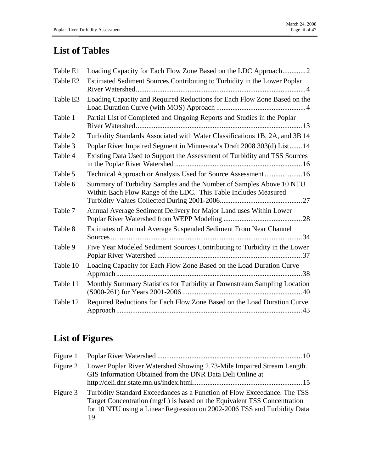# **List of Tables**

| Table E1 |                                                                                                                                        |
|----------|----------------------------------------------------------------------------------------------------------------------------------------|
| Table E2 | Estimated Sediment Sources Contributing to Turbidity in the Lower Poplar                                                               |
| Table E3 | Loading Capacity and Required Reductions for Each Flow Zone Based on the                                                               |
| Table 1  | Partial List of Completed and Ongoing Reports and Studies in the Poplar                                                                |
| Table 2  | Turbidity Standards Associated with Water Classifications 1B, 2A, and 3B 14                                                            |
| Table 3  | Poplar River Impaired Segment in Minnesota's Draft 2008 303(d) List 14                                                                 |
| Table 4  | Existing Data Used to Support the Assessment of Turbidity and TSS Sources                                                              |
| Table 5  | Technical Approach or Analysis Used for Source Assessment 16                                                                           |
| Table 6  | Summary of Turbidity Samples and the Number of Samples Above 10 NTU<br>Within Each Flow Range of the LDC. This Table Includes Measured |
| Table 7  | Annual Average Sediment Delivery for Major Land uses Within Lower                                                                      |
| Table 8  | Estimates of Annual Average Suspended Sediment From Near Channel                                                                       |
| Table 9  | Five Year Modeled Sediment Sources Contributing to Turbidity in the Lower                                                              |
| Table 10 | Loading Capacity for Each Flow Zone Based on the Load Duration Curve                                                                   |
| Table 11 | Monthly Summary Statistics for Turbidity at Downstream Sampling Location                                                               |
| Table 12 | Required Reductions for Each Flow Zone Based on the Load Duration Curve                                                                |

# **List of Figures**

| Figure 2 | Lower Poplar River Watershed Showing 2.73-Mile Impaired Stream Length.<br>GIS Information Obtained from the DNR Data Deli Online at                                                                                                    |
|----------|----------------------------------------------------------------------------------------------------------------------------------------------------------------------------------------------------------------------------------------|
|          |                                                                                                                                                                                                                                        |
| Figure 3 | Turbidity Standard Exceedances as a Function of Flow Exceedance. The TSS<br>Target Concentration (mg/L) is based on the Equivalent TSS Concentration<br>for 10 NTU using a Linear Regression on 2002-2006 TSS and Turbidity Data<br>19 |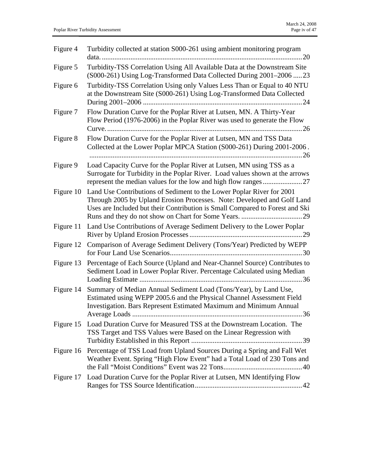| Figure 4  | Turbidity collected at station S000-261 using ambient monitoring program                                                                                                                                                         |
|-----------|----------------------------------------------------------------------------------------------------------------------------------------------------------------------------------------------------------------------------------|
| Figure 5  | Turbidity-TSS Correlation Using All Available Data at the Downstream Site<br>(S000-261) Using Log-Transformed Data Collected During 2001–2006  23                                                                                |
| Figure 6  | Turbidity-TSS Correlation Using only Values Less Than or Equal to 40 NTU<br>at the Downstream Site (S000-261) Using Log-Transformed Data Collected<br>. 24                                                                       |
| Figure 7  | Flow Duration Curve for the Poplar River at Lutsen, MN. A Thirty-Year<br>Flow Period (1976-2006) in the Poplar River was used to generate the Flow                                                                               |
| Figure 8  | Flow Duration Curve for the Poplar River at Lutsen, MN and TSS Data<br>Collected at the Lower Poplar MPCA Station (S000-261) During 2001-2006.                                                                                   |
| Figure 9  | Load Capacity Curve for the Poplar River at Lutsen, MN using TSS as a<br>Surrogate for Turbidity in the Poplar River. Load values shown at the arrows                                                                            |
| Figure 10 | Land Use Contributions of Sediment to the Lower Poplar River for 2001<br>Through 2005 by Upland Erosion Processes. Note: Developed and Golf Land<br>Uses are Included but their Contribution is Small Compared to Forest and Ski |
| Figure 11 | Land Use Contributions of Average Sediment Delivery to the Lower Poplar                                                                                                                                                          |
| Figure 12 | Comparison of Average Sediment Delivery (Tons/Year) Predicted by WEPP                                                                                                                                                            |
| Figure 13 | Percentage of Each Source (Upland and Near-Channel Source) Contributes to<br>Sediment Load in Lower Poplar River. Percentage Calculated using Median                                                                             |
| Figure 14 | Summary of Median Annual Sediment Load (Tons/Year), by Land Use,<br>Estimated using WEPP 2005.6 and the Physical Channel Assessment Field<br>Investigation. Bars Represent Estimated Maximum and Minimum Annual                  |
| Figure 15 | Load Duration Curve for Measured TSS at the Downstream Location. The<br>TSS Target and TSS Values were Based on the Linear Regression with                                                                                       |
| Figure 16 | Percentage of TSS Load from Upland Sources During a Spring and Fall Wet<br>Weather Event. Spring "High Flow Event" had a Total Load of 230 Tons and                                                                              |
| Figure 17 | Load Duration Curve for the Poplar River at Lutsen, MN Identifying Flow                                                                                                                                                          |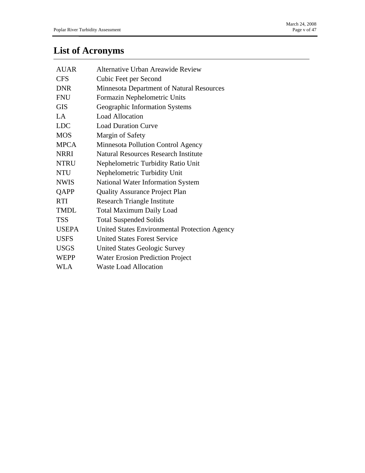# **List of Acronyms**

| <b>AUAR</b>  | <b>Alternative Urban Areawide Review</b>      |
|--------------|-----------------------------------------------|
| <b>CFS</b>   | Cubic Feet per Second                         |
| <b>DNR</b>   | Minnesota Department of Natural Resources     |
| <b>FNU</b>   | Formazin Nephelometric Units                  |
| <b>GIS</b>   | Geographic Information Systems                |
| LA           | <b>Load Allocation</b>                        |
| <b>LDC</b>   | <b>Load Duration Curve</b>                    |
| <b>MOS</b>   | Margin of Safety                              |
| <b>MPCA</b>  | Minnesota Pollution Control Agency            |
| <b>NRRI</b>  | Natural Resources Research Institute          |
| <b>NTRU</b>  | Nephelometric Turbidity Ratio Unit            |
| <b>NTU</b>   | Nephelometric Turbidity Unit                  |
| <b>NWIS</b>  | National Water Information System             |
| QAPP         | <b>Quality Assurance Project Plan</b>         |
| <b>RTI</b>   | <b>Research Triangle Institute</b>            |
| <b>TMDL</b>  | <b>Total Maximum Daily Load</b>               |
| <b>TSS</b>   | <b>Total Suspended Solids</b>                 |
| <b>USEPA</b> | United States Environmental Protection Agency |
| <b>USFS</b>  | <b>United States Forest Service</b>           |
| <b>USGS</b>  | <b>United States Geologic Survey</b>          |
| <b>WEPP</b>  | <b>Water Erosion Prediction Project</b>       |
| <b>WLA</b>   | <b>Waste Load Allocation</b>                  |
|              |                                               |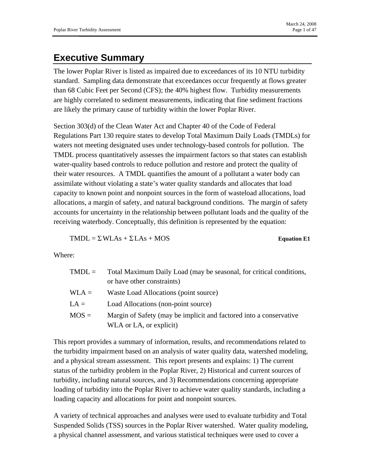# <span id="page-5-0"></span>**Executive Summary**

The lower Poplar River is listed as impaired due to exceedances of its 10 NTU turbidity standard. Sampling data demonstrate that exceedances occur frequently at flows greater than 68 Cubic Feet per Second (CFS); the 40% highest flow. Turbidity measurements are highly correlated to sediment measurements, indicating that fine sediment fractions are likely the primary cause of turbidity within the lower Poplar River.

Section 303(d) of the Clean Water Act and Chapter 40 of the Code of Federal Regulations Part 130 require states to develop Total Maximum Daily Loads (TMDLs) for waters not meeting designated uses under technology-based controls for pollution. The TMDL process quantitatively assesses the impairment factors so that states can establish water-quality based controls to reduce pollution and restore and protect the quality of their water resources. A TMDL quantifies the amount of a pollutant a water body can assimilate without violating a state's water quality standards and allocates that load capacity to known point and nonpoint sources in the form of wasteload allocations, load allocations, a margin of safety, and natural background conditions. The margin of safety accounts for uncertainty in the relationship between pollutant loads and the quality of the receiving waterbody. Conceptually, this definition is represented by the equation:

$$
TMDL = \Sigma WLAs + \Sigma LAs + MOS
$$

#### Equation E1

Where:

| $TMDL =$ | Total Maximum Daily Load (may be seasonal, for critical conditions,                           |
|----------|-----------------------------------------------------------------------------------------------|
|          | or have other constraints)                                                                    |
| $WLA =$  | Waste Load Allocations (point source)                                                         |
| $LA =$   | Load Allocations (non-point source)                                                           |
| $MOS =$  | Margin of Safety (may be implicit and factored into a conservative<br>WLA or LA, or explicit) |

This report provides a summary of information, results, and recommendations related to the turbidity impairment based on an analysis of water quality data, watershed modeling, and a physical stream assessment. This report presents and explains: 1) The current status of the turbidity problem in the Poplar River, 2) Historical and current sources of turbidity, including natural sources, and 3) Recommendations concerning appropriate loading of turbidity into the Poplar River to achieve water quality standards, including a loading capacity and allocations for point and nonpoint sources.

A variety of technical approaches and analyses were used to evaluate turbidity and Total Suspended Solids (TSS) sources in the Poplar River watershed. Water quality modeling, a physical channel assessment, and various statistical techniques were used to cover a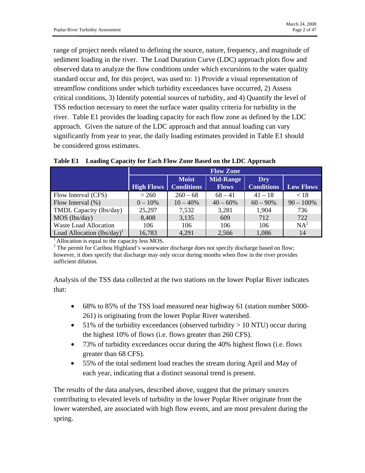<span id="page-6-0"></span>range of project needs related to defining the source, nature, frequency, and magnitude of sediment loading in the river. The Load Duration Curve (LDC) approach plots flow and observed data to analyze the flow conditions under which excursions to the water quality standard occur and, for this project, was used to: 1) Provide a visual representation of streamflow conditions under which turbidity exceedances have occurred, 2) Assess critical conditions, 3) Identify potential sources of turbidity, and 4) Quantify the level of TSS reduction necessary to meet the surface water quality criteria for turbidity in the river. Table E1 provides the loading capacity for each flow zone as defined by the LDC approach. Given the nature of the LDC approach and that annual loading can vary significantly from year to year, the daily loading estimates provided in Table E1 should be considered gross estimates.

|                               | <b>Flow Zone</b>  |                   |                  |                   |                  |
|-------------------------------|-------------------|-------------------|------------------|-------------------|------------------|
|                               |                   | <b>Moist</b>      | <b>Mid-Range</b> | Dry               |                  |
|                               | <b>High Flows</b> | <b>Conditions</b> | <b>Flows</b>     | <b>Conditions</b> | <b>Low Flows</b> |
| Flow Interval (CFS)           | > 260             | $260 - 68$        | $68 - 41$        | $41 - 18$         | < 18             |
| Flow Interval $(\%)$          | $0 - 10%$         | $10 - 40%$        | $40 - 60\%$      | $60 - 90\%$       | $90 - 100\%$     |
| TMDL Capacity (lbs/day)       | 25,297            | 7,532             | 3,281            | 1,904             | 736              |
| $MOS$ (lbs/day)               | 8,408             | 3,135             | 609              | 712               | 722              |
| <b>Waste Load Allocation</b>  | 106               | 106               | 106              | 106               | $NA^2$           |
| Load Allocation $(lbs/day)^T$ | 16,783            | 4,291             | 2,566            | 1,086             | 14               |

**Table E1 Loading Capacity for Each Flow Zone Based on the LDC Approach** 

 $\mu$ <sup>1</sup> Allocation is equal to the capacity less MOS.

 $2^2$  The permit for Caribou Highland's wastewater discharge does not specify discharge based on flow; however, it does specify that discharge may only occur during months when flow in the river provides sufficient dilution.

Analysis of the TSS data collected at the two stations on the lower Poplar River indicates that:

- 68% to 85% of the TSS load measured near highway 61 (station number S000-261) is originating from the lower Poplar River watershed.
- 51% of the turbidity exceedances (observed turbidity  $> 10$  NTU) occur during the highest 10% of flows (i.e. flows greater than 260 CFS).
- 73% of turbidity exceedances occur during the 40% highest flows (i.e. flows greater than 68 CFS).
- 55% of the total sediment load reaches the stream during April and May of each year, indicating that a distinct seasonal trend is present.

The results of the data analyses, described above, suggest that the primary sources contributing to elevated levels of turbidity in the lower Poplar River originate from the lower watershed, are associated with high flow events, and are most prevalent during the spring.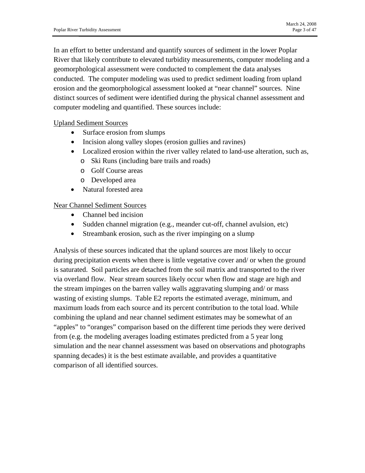In an effort to better understand and quantify sources of sediment in the lower Poplar River that likely contribute to elevated turbidity measurements, computer modeling and a geomorphological assessment were conducted to complement the data analyses conducted. The computer modeling was used to predict sediment loading from upland erosion and the geomorphological assessment looked at "near channel" sources. Nine distinct sources of sediment were identified during the physical channel assessment and computer modeling and quantified. These sources include:

#### Upland Sediment Sources

- Surface erosion from slumps
- Incision along valley slopes (erosion gullies and ravines)
- Localized erosion within the river valley related to land-use alteration, such as,
	- o Ski Runs (including bare trails and roads)
	- o Golf Course areas
	- o Developed area
- Natural forested area

#### Near Channel Sediment Sources

- Channel bed incision
- Sudden channel migration (e.g., meander cut-off, channel avulsion, etc)
- Streambank erosion, such as the river impinging on a slump

Analysis of these sources indicated that the upland sources are most likely to occur during precipitation events when there is little vegetative cover and/ or when the ground is saturated. Soil particles are detached from the soil matrix and transported to the river via overland flow. Near stream sources likely occur when flow and stage are high and the stream impinges on the barren valley walls aggravating slumping and/ or mass wasting of existing slumps. Table E2 reports the estimated average, minimum, and maximum loads from each source and its percent contribution to the total load. While combining the upland and near channel sediment estimates may be somewhat of an "apples" to "oranges" comparison based on the different time periods they were derived from (e.g. the modeling averages loading estimates predicted from a 5 year long simulation and the near channel assessment was based on observations and photographs spanning decades) it is the best estimate available, and provides a quantitative comparison of all identified sources.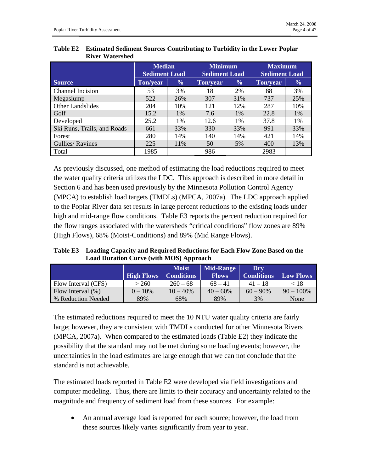|                             | <b>Median</b><br><b>Sediment Load</b> |               | <b>Minimum</b><br><b>Sediment Load</b> |               | <b>Maximum</b><br><b>Sediment Load</b> |               |
|-----------------------------|---------------------------------------|---------------|----------------------------------------|---------------|----------------------------------------|---------------|
| <b>Source</b>               | <b>Ton/year</b>                       | $\frac{0}{0}$ | <b>Ton/year</b>                        | $\frac{0}{0}$ | <b>Ton/year</b>                        | $\frac{0}{0}$ |
| Channel Incision            | 53                                    | 3%            | 18                                     | 2%            | 88                                     | 3%            |
| Megaslump                   | 522                                   | 26%           | 307                                    | 31%           | 737                                    | 25%           |
| <b>Other Landslides</b>     | 204                                   | 10%           | 121                                    | 12%           | 287                                    | 10%           |
| Golf                        | 15.2                                  | 1%            | 7.6                                    | $1\%$         | 22.8                                   | 1%            |
| Developed                   | 25.2                                  | $1\%$         | 12.6                                   | 1%            | 37.8                                   | $1\%$         |
| Ski Runs, Trails, and Roads | 661                                   | 33%           | 330                                    | 33%           | 991                                    | 33%           |
| Forest                      | 280                                   | 14%           | 140                                    | 14%           | 421                                    | 14%           |
| Gullies/Ravines             | 225                                   | 11%           | 50                                     | 5%            | 400                                    | 13%           |
| Total                       | 1985                                  |               | 986                                    |               | 2983                                   |               |

#### <span id="page-8-0"></span>**Table E2 Estimated Sediment Sources Contributing to Turbidity in the Lower Poplar River Watershed**

As previously discussed, one method of estimating the load reductions required to meet the water quality criteria utilizes the LDC. This approach is described in more detail in Section 6 and has been used previously by the Minnesota Pollution Control Agency (MPCA) to establish load targets (TMDLs) (MPCA, 2007a). The LDC approach applied to the Poplar River data set results in large percent reductions to the existing loads under high and mid-range flow conditions. Table E3 reports the percent reduction required for the flow ranges associated with the watersheds "critical conditions" flow zones are 89% (High Flows), 68% (Moist-Conditions) and 89% (Mid Range Flows).

**Table E3 Loading Capacity and Required Reductions for Each Flow Zone Based on the Load Duration Curve (with MOS) Approach** 

|                      |                   | <b>Moist</b>      | <b>Mid-Range</b> | Drv               |              |
|----------------------|-------------------|-------------------|------------------|-------------------|--------------|
|                      | <b>High Flows</b> | <b>Conditions</b> | <b>Flows</b>     | <b>Conditions</b> | Low Flows    |
| Flow Interval (CFS)  | > 260             | $260 - 68$        | $68 - 41$        | $41 - 18$         | < 18         |
| Flow Interval $(\%)$ | $0 - 10\%$        | $10 - 40\%$       | $40 - 60\%$      | $60 - 90\%$       | $90 - 100\%$ |
| % Reduction Needed   | 89%               | 68%               | 89%              | 3%                | None         |

The estimated reductions required to meet the 10 NTU water quality criteria are fairly large; however, they are consistent with TMDLs conducted for other Minnesota Rivers (MPCA, 2007a). When compared to the estimated loads (Table E2) they indicate the possibility that the standard may not be met during some loading events; however, the uncertainties in the load estimates are large enough that we can not conclude that the standard is not achievable.

The estimated loads reported in Table E2 were developed via field investigations and computer modeling. Thus, there are limits to their accuracy and uncertainty related to the magnitude and frequency of sediment load from these sources. For example:

• An annual average load is reported for each source; however, the load from these sources likely varies significantly from year to year.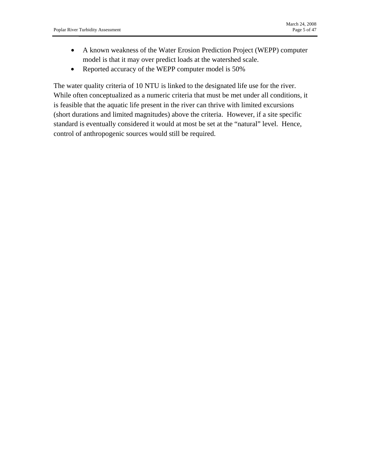- A known weakness of the Water Erosion Prediction Project (WEPP) computer model is that it may over predict loads at the watershed scale.
- Reported accuracy of the WEPP computer model is 50%

The water quality criteria of 10 NTU is linked to the designated life use for the river. While often conceptualized as a numeric criteria that must be met under all conditions, it is feasible that the aquatic life present in the river can thrive with limited excursions (short durations and limited magnitudes) above the criteria. However, if a site specific standard is eventually considered it would at most be set at the "natural" level. Hence, control of anthropogenic sources would still be required.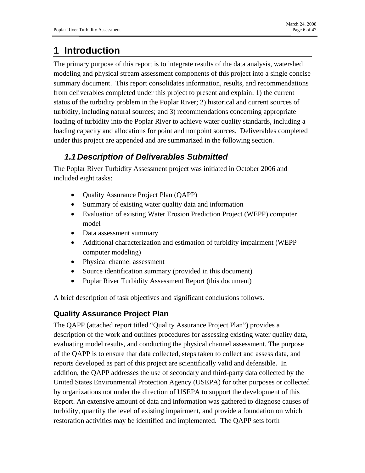# <span id="page-10-0"></span>**1 Introduction**

The primary purpose of this report is to integrate results of the data analysis, watershed modeling and physical stream assessment components of this project into a single concise summary document. This report consolidates information, results, and recommendations from deliverables completed under this project to present and explain: 1) the current status of the turbidity problem in the Poplar River; 2) historical and current sources of turbidity, including natural sources; and 3) recommendations concerning appropriate loading of turbidity into the Poplar River to achieve water quality standards, including a loading capacity and allocations for point and nonpoint sources. Deliverables completed under this project are appended and are summarized in the following section.

# *1.1 Description of Deliverables Submitted*

The Poplar River Turbidity Assessment project was initiated in October 2006 and included eight tasks:

- Quality Assurance Project Plan (QAPP)
- Summary of existing water quality data and information
- Evaluation of existing Water Erosion Prediction Project (WEPP) computer model
- Data assessment summary
- Additional characterization and estimation of turbidity impairment (WEPP computer modeling)
- Physical channel assessment
- Source identification summary (provided in this document)
- Poplar River Turbidity Assessment Report (this document)

A brief description of task objectives and significant conclusions follows.

## **Quality Assurance Project Plan**

The QAPP (attached report titled "Quality Assurance Project Plan") provides a description of the work and outlines procedures for assessing existing water quality data, evaluating model results, and conducting the physical channel assessment. The purpose of the QAPP is to ensure that data collected, steps taken to collect and assess data, and reports developed as part of this project are scientifically valid and defensible. In addition, the QAPP addresses the use of secondary and third-party data collected by the United States Environmental Protection Agency (USEPA) for other purposes or collected by organizations not under the direction of USEPA to support the development of this Report. An extensive amount of data and information was gathered to diagnose causes of turbidity, quantify the level of existing impairment, and provide a foundation on which restoration activities may be identified and implemented. The QAPP sets forth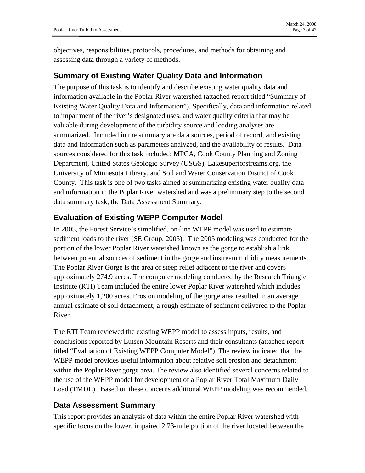objectives, responsibilities, protocols, procedures, and methods for obtaining and assessing data through a variety of methods.

### **Summary of Existing Water Quality Data and Information**

The purpose of this task is to identify and describe existing water quality data and information available in the Poplar River watershed (attached report titled "Summary of Existing Water Quality Data and Information"). Specifically, data and information related to impairment of the river's designated uses, and water quality criteria that may be valuable during development of the turbidity source and loading analyses are summarized. Included in the summary are data sources, period of record, and existing data and information such as parameters analyzed, and the availability of results. Data sources considered for this task included: MPCA, Cook County Planning and Zoning Department, United States Geologic Survey (USGS), Lakesuperiorstreams.org, the University of Minnesota Library, and Soil and Water Conservation District of Cook County. This task is one of two tasks aimed at summarizing existing water quality data and information in the Poplar River watershed and was a preliminary step to the second data summary task, the Data Assessment Summary.

### **Evaluation of Existing WEPP Computer Model**

In 2005, the Forest Service's simplified, on-line WEPP model was used to estimate sediment loads to the river (SE Group, 2005). The 2005 modeling was conducted for the portion of the lower Poplar River watershed known as the gorge to establish a link between potential sources of sediment in the gorge and instream turbidity measurements. The Poplar River Gorge is the area of steep relief adjacent to the river and covers approximately 274.9 acres. The computer modeling conducted by the Research Triangle Institute (RTI) Team included the entire lower Poplar River watershed which includes approximately 1,200 acres. Erosion modeling of the gorge area resulted in an average annual estimate of soil detachment; a rough estimate of sediment delivered to the Poplar River.

The RTI Team reviewed the existing WEPP model to assess inputs, results, and conclusions reported by Lutsen Mountain Resorts and their consultants (attached report titled "Evaluation of Existing WEPP Computer Model"). The review indicated that the WEPP model provides useful information about relative soil erosion and detachment within the Poplar River gorge area. The review also identified several concerns related to the use of the WEPP model for development of a Poplar River Total Maximum Daily Load (TMDL). Based on these concerns additional WEPP modeling was recommended.

### **Data Assessment Summary**

This report provides an analysis of data within the entire Poplar River watershed with specific focus on the lower, impaired 2.73-mile portion of the river located between the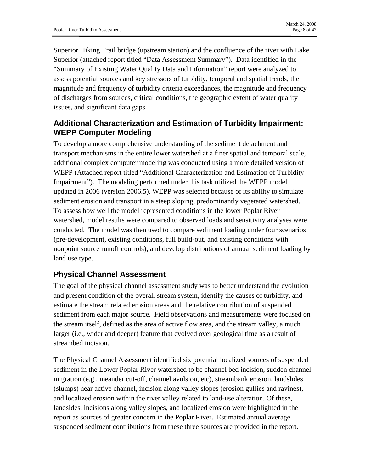Superior Hiking Trail bridge (upstream station) and the confluence of the river with Lake Superior (attached report titled "Data Assessment Summary"). Data identified in the "Summary of Existing Water Quality Data and Information" report were analyzed to assess potential sources and key stressors of turbidity, temporal and spatial trends, the magnitude and frequency of turbidity criteria exceedances, the magnitude and frequency of discharges from sources, critical conditions, the geographic extent of water quality issues, and significant data gaps.

### **Additional Characterization and Estimation of Turbidity Impairment: WEPP Computer Modeling**

To develop a more comprehensive understanding of the sediment detachment and transport mechanisms in the entire lower watershed at a finer spatial and temporal scale, additional complex computer modeling was conducted using a more detailed version of WEPP (Attached report titled "Additional Characterization and Estimation of Turbidity Impairment"). The modeling performed under this task utilized the WEPP model updated in 2006 (version 2006.5). WEPP was selected because of its ability to simulate sediment erosion and transport in a steep sloping, predominantly vegetated watershed. To assess how well the model represented conditions in the lower Poplar River watershed, model results were compared to observed loads and sensitivity analyses were conducted. The model was then used to compare sediment loading under four scenarios (pre-development, existing conditions, full build-out, and existing conditions with nonpoint source runoff controls), and develop distributions of annual sediment loading by land use type.

### **Physical Channel Assessment**

The goal of the physical channel assessment study was to better understand the evolution and present condition of the overall stream system, identify the causes of turbidity, and estimate the stream related erosion areas and the relative contribution of suspended sediment from each major source. Field observations and measurements were focused on the stream itself, defined as the area of active flow area, and the stream valley, a much larger (i.e., wider and deeper) feature that evolved over geological time as a result of streambed incision.

The Physical Channel Assessment identified six potential localized sources of suspended sediment in the Lower Poplar River watershed to be channel bed incision, sudden channel migration (e.g., meander cut-off, channel avulsion, etc), streambank erosion, landslides (slumps) near active channel, incision along valley slopes (erosion gullies and ravines), and localized erosion within the river valley related to land-use alteration. Of these, landsides, incisions along valley slopes, and localized erosion were highlighted in the report as sources of greater concern in the Poplar River. Estimated annual average suspended sediment contributions from these three sources are provided in the report.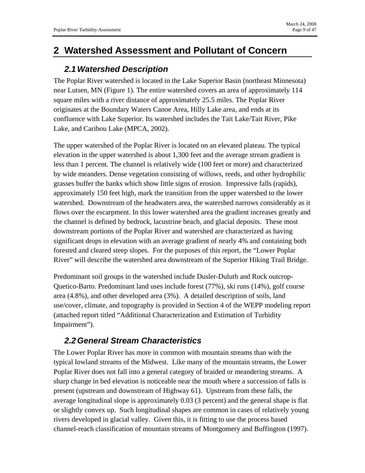# <span id="page-13-0"></span>**2 Watershed Assessment and Pollutant of Concern**

# *2.1Watershed Description*

The Poplar River watershed is located in the Lake Superior Basin (northeast Minnesota) near Lutsen, MN (Figure 1). The entire watershed covers an area of approximately 114 square miles with a river distance of approximately 25.5 miles. The Poplar River originates at the Boundary Waters Canoe Area, Hilly Lake area, and ends at its confluence with Lake Superior. Its watershed includes the Tait Lake/Tait River, Pike Lake, and Caribou Lake (MPCA, 2002).

The upper watershed of the Poplar River is located on an elevated plateau. The typical elevation in the upper watershed is about 1,300 feet and the average stream gradient is less than 1 percent. The channel is relatively wide (100 feet or more) and characterized by wide meanders. Dense vegetation consisting of willows, reeds, and other hydrophilic grasses buffer the banks which show little signs of erosion. Impressive falls (rapids), approximately 150 feet high, mark the transition from the upper watershed to the lower watershed. Downstream of the headwaters area, the watershed narrows considerably as it flows over the escarpment. In this lower watershed area the gradient increases greatly and the channel is defined by bedrock, lacustrine beach, and glacial deposits. These most downstream portions of the Poplar River and watershed are characterized as having significant drops in elevation with an average gradient of nearly 4% and containing both forested and cleared steep slopes. For the purposes of this report, the "Lower Poplar River" will describe the watershed area downstream of the Superior Hiking Trail Bridge.

Predominant soil groups in the watershed include Dusler-Duluth and Rock outcrop-Quetico-Barto. Predominant land uses include forest (77%), ski runs (14%), golf course area (4.8%), and other developed area (3%). A detailed description of soils, land use/cover, climate, and topography is provided in Section 4 of the WEPP modeling report (attached report titled "Additional Characterization and Estimation of Turbidity Impairment").

# *2.2 General Stream Characteristics*

The Lower Poplar River has more in common with mountain streams than with the typical lowland streams of the Midwest. Like many of the mountain streams, the Lower Poplar River does not fall into a general category of braided or meandering streams. A sharp change in bed elevation is noticeable near the mouth where a succession of falls is present (upstream and downstream of Highway 61). Upstream from these falls, the average longitudinal slope is approximately 0.03 (3 percent) and the general shape is flat or slightly convex up. Such longitudinal shapes are common in cases of relatively young rivers developed in glacial valley. Given this, it is fitting to use the process based channel-reach classification of mountain streams of Montgomery and Buffington (1997).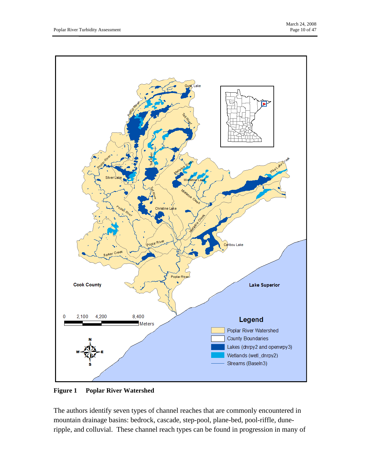<span id="page-14-0"></span>

**Figure 1 Poplar River Watershed** 

The authors identify seven types of channel reaches that are commonly encountered in mountain drainage basins: bedrock, cascade, step-pool, plane-bed, pool-riffle, duneripple, and colluvial. These channel reach types can be found in progression in many of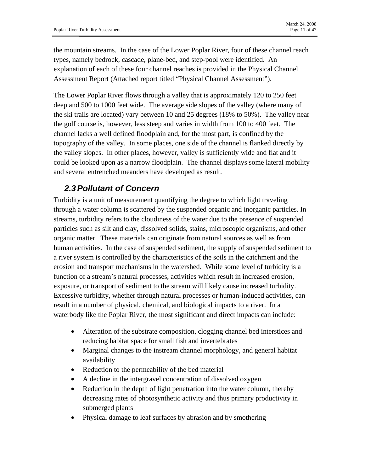<span id="page-15-0"></span>the mountain streams. In the case of the Lower Poplar River, four of these channel reach types, namely bedrock, cascade, plane-bed, and step-pool were identified. An explanation of each of these four channel reaches is provided in the Physical Channel Assessment Report (Attached report titled "Physical Channel Assessment").

The Lower Poplar River flows through a valley that is approximately 120 to 250 feet deep and 500 to 1000 feet wide. The average side slopes of the valley (where many of the ski trails are located) vary between 10 and 25 degrees (18% to 50%). The valley near the golf course is, however, less steep and varies in width from 100 to 400 feet. The channel lacks a well defined floodplain and, for the most part, is confined by the topography of the valley. In some places, one side of the channel is flanked directly by the valley slopes. In other places, however, valley is sufficiently wide and flat and it could be looked upon as a narrow floodplain. The channel displays some lateral mobility and several entrenched meanders have developed as result.

# *2.3Pollutant of Concern*

Turbidity is a unit of measurement quantifying the degree to which light traveling through a water column is scattered by the suspended organic and inorganic particles. In streams, turbidity refers to the cloudiness of the water due to the presence of suspended particles such as silt and clay, dissolved solids, stains, microscopic organisms, and other organic matter. These materials can originate from natural sources as well as from human activities. In the case of suspended sediment, the supply of suspended sediment to a river system is controlled by the characteristics of the soils in the catchment and the erosion and transport mechanisms in the watershed. While some level of turbidity is a function of a stream's natural processes, activities which result in increased erosion, exposure, or transport of sediment to the stream will likely cause increased turbidity. Excessive turbidity, whether through natural processes or human-induced activities, can result in a number of physical, chemical, and biological impacts to a river. In a waterbody like the Poplar River, the most significant and direct impacts can include:

- Alteration of the substrate composition, clogging channel bed interstices and reducing habitat space for small fish and invertebrates
- Marginal changes to the instream channel morphology, and general habitat availability
- Reduction to the permeability of the bed material
- A decline in the intergravel concentration of dissolved oxygen
- Reduction in the depth of light penetration into the water column, thereby decreasing rates of photosynthetic activity and thus primary productivity in submerged plants
- Physical damage to leaf surfaces by abrasion and by smothering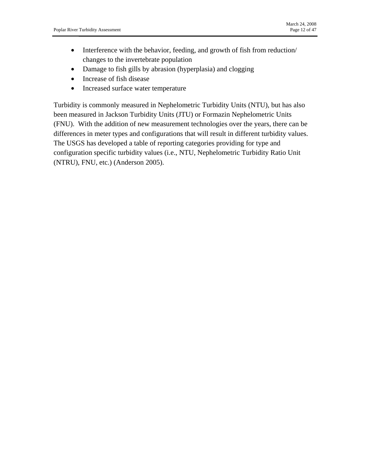- Interference with the behavior, feeding, and growth of fish from reduction/ changes to the invertebrate population
- Damage to fish gills by abrasion (hyperplasia) and clogging
- Increase of fish disease
- Increased surface water temperature

Turbidity is commonly measured in Nephelometric Turbidity Units (NTU), but has also been measured in Jackson Turbidity Units (JTU) or Formazin Nephelometric Units (FNU). With the addition of new measurement technologies over the years, there can be differences in meter types and configurations that will result in different turbidity values. The USGS has developed a table of reporting categories providing for type and configuration specific turbidity values (i.e., NTU, Nephelometric Turbidity Ratio Unit (NTRU), FNU, etc.) (Anderson 2005).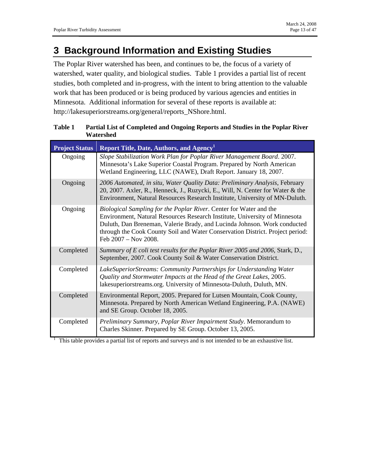1

# <span id="page-17-0"></span>**3 Background Information and Existing Studies**

The Poplar River watershed has been, and continues to be, the focus of a variety of watershed, water quality, and biological studies. Table 1 provides a partial list of recent studies, both completed and in-progress, with the intent to bring attention to the valuable work that has been produced or is being produced by various agencies and entities in Minnesota. Additional information for several of these reports is available at: http://lakesuperiorstreams.org/general/reports\_NShore.html.

| <b>Project Status</b> | Report Title, Date, Authors, and Agency <sup>1</sup>                                                                                                                                                                                                                                                                                  |
|-----------------------|---------------------------------------------------------------------------------------------------------------------------------------------------------------------------------------------------------------------------------------------------------------------------------------------------------------------------------------|
| Ongoing               | Slope Stabilization Work Plan for Poplar River Management Board. 2007.<br>Minnesota's Lake Superior Coastal Program. Prepared by North American<br>Wetland Engineering, LLC (NAWE), Draft Report. January 18, 2007.                                                                                                                   |
| Ongoing               | 2006 Automated, in situ, Water Quality Data: Preliminary Analysis, February<br>20, 2007. Axler, R., Henneck, J., Ruzycki, E., Will, N. Center for Water & the<br>Environment, Natural Resources Research Institute, University of MN-Duluth.                                                                                          |
| Ongoing               | Biological Sampling for the Poplar River. Center for Water and the<br>Environment, Natural Resources Research Institute, University of Minnesota<br>Duluth, Dan Breneman, Valerie Brady, and Lucinda Johnson. Work conducted<br>through the Cook County Soil and Water Conservation District. Project period:<br>Feb 2007 - Nov 2008. |
| Completed             | Summary of E coli test results for the Poplar River 2005 and 2006, Stark, D.,<br>September, 2007. Cook County Soil & Water Conservation District.                                                                                                                                                                                     |
| Completed             | LakeSuperiorStreams: Community Partnerships for Understanding Water<br>Quality and Stormwater Impacts at the Head of the Great Lakes, 2005.<br>lakesuperiorstreams.org. University of Minnesota-Duluth, Duluth, MN.                                                                                                                   |
| Completed             | Environmental Report, 2005. Prepared for Lutsen Mountain, Cook County,<br>Minnesota. Prepared by North American Wetland Engineering, P.A. (NAWE)<br>and SE Group. October 18, 2005.                                                                                                                                                   |
| Completed             | Preliminary Summary, Poplar River Impairment Study. Memorandum to<br>Charles Skinner. Prepared by SE Group. October 13, 2005.                                                                                                                                                                                                         |

#### **Table 1 Partial List of Completed and Ongoing Reports and Studies in the Poplar River Watershed**

This table provides a partial list of reports and surveys and is not intended to be an exhaustive list.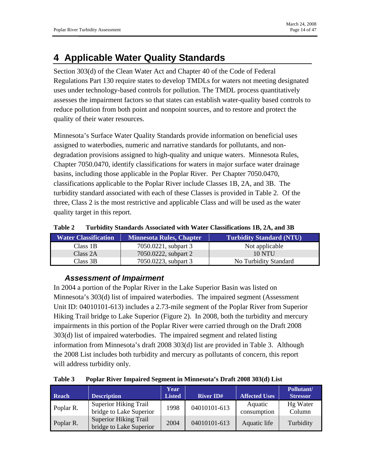# <span id="page-18-0"></span>**4 Applicable Water Quality Standards**

Section 303(d) of the Clean Water Act and Chapter 40 of the Code of Federal Regulations Part 130 require states to develop TMDLs for waters not meeting designated uses under technology-based controls for pollution. The TMDL process quantitatively assesses the impairment factors so that states can establish water-quality based controls to reduce pollution from both point and nonpoint sources, and to restore and protect the quality of their water resources.

Minnesota's Surface Water Quality Standards provide information on beneficial uses assigned to waterbodies, numeric and narrative standards for pollutants, and nondegradation provisions assigned to high-quality and unique waters. Minnesota Rules, Chapter 7050.0470, identify classifications for waters in major surface water drainage basins, including those applicable in the Poplar River. Per Chapter 7050.0470, classifications applicable to the Poplar River include Classes 1B, 2A, and 3B. The turbidity standard associated with each of these Classes is provided in Table 2. Of the three, Class 2 is the most restrictive and applicable Class and will be used as the water quality target in this report.

| $\frac{1}{2}$ and $\frac{1}{2}$ and $\frac{1}{2}$ $\frac{1}{2}$ $\frac{1}{2}$ $\frac{1}{2}$ $\frac{1}{2}$ $\frac{1}{2}$ $\frac{1}{2}$ $\frac{1}{2}$ $\frac{1}{2}$ $\frac{1}{2}$ $\frac{1}{2}$ $\frac{1}{2}$ $\frac{1}{2}$ $\frac{1}{2}$ $\frac{1}{2}$ $\frac{1}{2}$ $\frac{1}{2}$ $\frac{1}{2}$ $\frac{1}{2}$ $\frac$ |                                 |                                 |  |  |  |  |  |
|-----------------------------------------------------------------------------------------------------------------------------------------------------------------------------------------------------------------------------------------------------------------------------------------------------------------------|---------------------------------|---------------------------------|--|--|--|--|--|
| <b>Water Classification</b>                                                                                                                                                                                                                                                                                           | <b>Minnesota Rules, Chapter</b> | <b>Turbidity Standard (NTU)</b> |  |  |  |  |  |
| Class 1B                                                                                                                                                                                                                                                                                                              | 7050.0221, subpart 3            | Not applicable                  |  |  |  |  |  |
| Class 2A                                                                                                                                                                                                                                                                                                              | 7050.0222, subpart 2            | 10 NTU                          |  |  |  |  |  |
| Class 3B                                                                                                                                                                                                                                                                                                              | 7050.0223, subpart 3            | No Turbidity Standard           |  |  |  |  |  |

| Table 2 | Turbidity Standards Associated with Water Classifications 1B, 2A, and 3B |
|---------|--------------------------------------------------------------------------|
|---------|--------------------------------------------------------------------------|

### *Assessment of Impairment*

In 2004 a portion of the Poplar River in the Lake Superior Basin was listed on Minnesota's 303(d) list of impaired waterbodies. The impaired segment (Assessment Unit ID: 04010101-613) includes a 2.73-mile segment of the Poplar River from Superior Hiking Trail bridge to Lake Superior (Figure 2). In 2008, both the turbidity and mercury impairments in this portion of the Poplar River were carried through on the Draft 2008 303(d) list of impaired waterbodies. The impaired segment and related listing information from Minnesota's draft 2008 303(d) list are provided in Table 3. Although the 2008 List includes both turbidity and mercury as pollutants of concern, this report will address turbidity only.

| Table 3 | Poplar River Impaired Segment in Minnesota's Draft 2008 303(d) List |  |  |  |  |  |  |
|---------|---------------------------------------------------------------------|--|--|--|--|--|--|
|---------|---------------------------------------------------------------------|--|--|--|--|--|--|

| <b>Reach</b> | <b>Description</b>                                      | Year<br><b>Listed</b> | <b>River ID#</b> | <b>Affected Uses</b>   | Pollutant/<br><b>Stressor</b> |
|--------------|---------------------------------------------------------|-----------------------|------------------|------------------------|-------------------------------|
| Poplar R.    | Superior Hiking Trail<br>bridge to Lake Superior        | 1998                  | 04010101-613     | Aquatic<br>consumption | Hg Water<br>Column            |
| Poplar R.    | <b>Superior Hiking Trail</b><br>bridge to Lake Superior | 2004                  | 04010101-613     | Aquatic life           | Turbidity                     |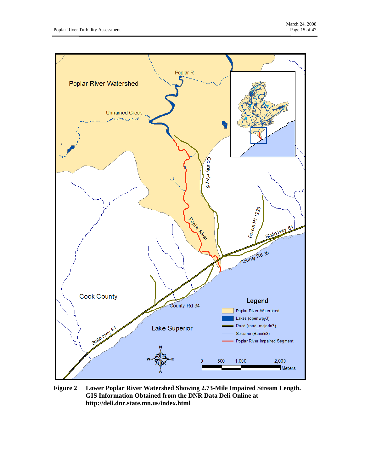<span id="page-19-0"></span>

**Figure 2 Lower Poplar River Watershed Showing 2.73-Mile Impaired Stream Length. GIS Information Obtained from the DNR Data Deli Online at http://deli.dnr.state.mn.us/index.html**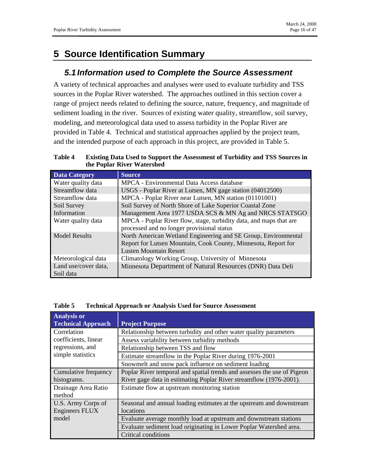# <span id="page-20-0"></span>**5 Source Identification Summary**

# *5.1 Information used to Complete the Source Assessment*

A variety of technical approaches and analyses were used to evaluate turbidity and TSS sources in the Poplar River watershed. The approaches outlined in this section cover a range of project needs related to defining the source, nature, frequency, and magnitude of sediment loading in the river. Sources of existing water quality, streamflow, soil survey, modeling, and meteorological data used to assess turbidity in the Poplar River are provided in Table 4. Technical and statistical approaches applied by the project team, and the intended purpose of each approach in this project, are provided in Table 5.

**Table 4 Existing Data Used to Support the Assessment of Turbidity and TSS Sources in the Poplar River Watershed** 

| <b>Data Category</b> | <b>Source</b>                                                      |
|----------------------|--------------------------------------------------------------------|
| Water quality data   | MPCA - Environmental Data Access database                          |
| Streamflow data      | USGS - Poplar River at Lutsen, MN gage station (04012500)          |
| Streamflow data      | MPCA - Poplar River near Lutsen, MN station (01101001)             |
| Soil Survey          | Soil Survey of North Shore of Lake Superior Coastal Zone           |
| Information          | Management Area 1977 USDA SCS & MN Ag and NRCS STATSGO             |
| Water quality data   | MPCA - Poplar River flow, stage, turbidity data, and maps that are |
|                      | processed and no longer provisional status                         |
| <b>Model Results</b> | North American Wetland Engineering and SE Group, Environmental     |
|                      | Report for Lutsen Mountain, Cook County, Minnesota, Report for     |
|                      | <b>Lusten Mountain Resort</b>                                      |
| Meteorological data  | Climatology Working Group, University of Minnesota                 |
| Land use/cover data, | Minnesota Department of Natural Resources (DNR) Data Deli          |
| Soil data            |                                                                    |

| <b>Analysis or</b><br><b>Technical Approach</b> | <b>Project Purpose</b>                                                  |  |  |  |
|-------------------------------------------------|-------------------------------------------------------------------------|--|--|--|
| Correlation                                     | Relationship between turbidity and other water quality parameters       |  |  |  |
| coefficients, linear                            | Assess variability between turbidity methods                            |  |  |  |
| regressions, and                                | Relationship between TSS and flow                                       |  |  |  |
| simple statistics                               | Estimate streamflow in the Poplar River during 1976-2001                |  |  |  |
|                                                 | Snowmelt and snow pack influence on sediment loading                    |  |  |  |
| Cumulative frequency                            | Poplar River temporal and spatial trends and assesses the use of Pigeon |  |  |  |
| histograms.                                     | River gage data in estimating Poplar River streamflow (1976-2001).      |  |  |  |
| Drainage Area Ratio                             | Estimate flow at upstream monitoring station                            |  |  |  |
| method                                          |                                                                         |  |  |  |
| U.S. Army Corps of                              | Seasonal and annual loading estimates at the upstream and downstream    |  |  |  |
| Engineers FLUX                                  | locations                                                               |  |  |  |
| model                                           | Evaluate average monthly load at upstream and downstream stations       |  |  |  |
|                                                 | Evaluate sediment load originating in Lower Poplar Watershed area.      |  |  |  |
|                                                 | Critical conditions                                                     |  |  |  |

| <b>Table 5</b> |  | <b>Technical Approach or Analysis Used for Source Assessment</b> |
|----------------|--|------------------------------------------------------------------|
|----------------|--|------------------------------------------------------------------|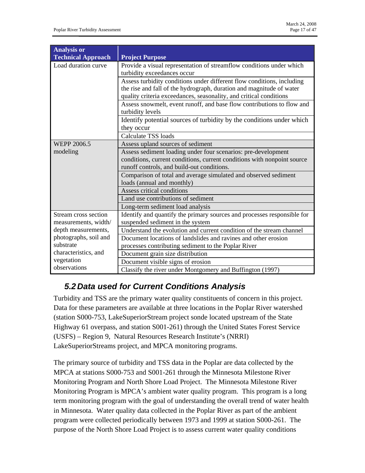<span id="page-21-0"></span>

| <b>Analysis or</b>        |                                                                         |  |  |  |
|---------------------------|-------------------------------------------------------------------------|--|--|--|
| <b>Technical Approach</b> | <b>Project Purpose</b>                                                  |  |  |  |
| Load duration curve       | Provide a visual representation of streamflow conditions under which    |  |  |  |
|                           | turbidity exceedances occur                                             |  |  |  |
|                           | Assess turbidity conditions under different flow conditions, including  |  |  |  |
|                           | the rise and fall of the hydrograph, duration and magnitude of water    |  |  |  |
|                           | quality criteria exceedances, seasonality, and critical conditions      |  |  |  |
|                           | Assess snowmelt, event runoff, and base flow contributions to flow and  |  |  |  |
|                           | turbidity levels                                                        |  |  |  |
|                           | Identify potential sources of turbidity by the conditions under which   |  |  |  |
|                           | they occur                                                              |  |  |  |
|                           | Calculate TSS loads                                                     |  |  |  |
| <b>WEPP 2006.5</b>        | Assess upland sources of sediment                                       |  |  |  |
| modeling                  | Assess sediment loading under four scenarios: pre-development           |  |  |  |
|                           | conditions, current conditions, current conditions with nonpoint source |  |  |  |
|                           | runoff controls, and build-out conditions.                              |  |  |  |
|                           | Comparison of total and average simulated and observed sediment         |  |  |  |
|                           | loads (annual and monthly)                                              |  |  |  |
|                           | Assess critical conditions                                              |  |  |  |
|                           | Land use contributions of sediment                                      |  |  |  |
|                           | Long-term sediment load analysis                                        |  |  |  |
| Stream cross section      | Identify and quantify the primary sources and processes responsible for |  |  |  |
| measurements, width/      | suspended sediment in the system                                        |  |  |  |
| depth measurements,       | Understand the evolution and current condition of the stream channel    |  |  |  |
| photographs, soil and     | Document locations of landslides and ravines and other erosion          |  |  |  |
| substrate                 | processes contributing sediment to the Poplar River                     |  |  |  |
| characteristics, and      | Document grain size distribution                                        |  |  |  |
| vegetation                | Document visible signs of erosion                                       |  |  |  |
| observations              | Classify the river under Montgomery and Buffington (1997)               |  |  |  |

## *5.2 Data used for Current Conditions Analysis*

Turbidity and TSS are the primary water quality constituents of concern in this project. Data for these parameters are available at three locations in the Poplar River watershed (station S000-753, LakeSuperiorStream project sonde located upstream of the State Highway 61 overpass, and station S001-261) through the United States Forest Service (USFS) – Region 9, Natural Resources Research Institute's (NRRI) LakeSuperiorStreams project, and MPCA monitoring programs.

The primary source of turbidity and TSS data in the Poplar are data collected by the MPCA at stations S000-753 and S001-261 through the Minnesota Milestone River Monitoring Program and North Shore Load Project. The Minnesota Milestone River Monitoring Program is MPCA's ambient water quality program. This program is a long term monitoring program with the goal of understanding the overall trend of water health in Minnesota. Water quality data collected in the Poplar River as part of the ambient program were collected periodically between 1973 and 1999 at station S000-261. The purpose of the North Shore Load Project is to assess current water quality conditions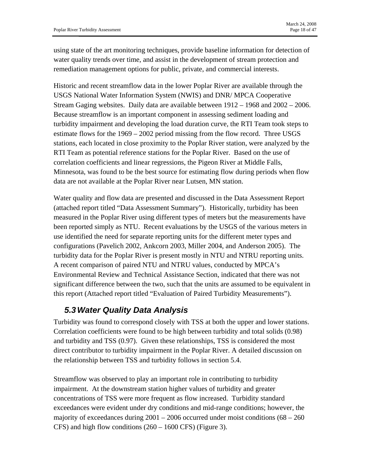<span id="page-22-0"></span>using state of the art monitoring techniques, provide baseline information for detection of water quality trends over time, and assist in the development of stream protection and remediation management options for public, private, and commercial interests.

Historic and recent streamflow data in the lower Poplar River are available through the USGS National Water Information System (NWIS) and DNR/ MPCA Cooperative Stream Gaging websites. Daily data are available between 1912 – 1968 and 2002 – 2006. Because streamflow is an important component in assessing sediment loading and turbidity impairment and developing the load duration curve, the RTI Team took steps to estimate flows for the 1969 – 2002 period missing from the flow record. Three USGS stations, each located in close proximity to the Poplar River station, were analyzed by the RTI Team as potential reference stations for the Poplar River. Based on the use of correlation coefficients and linear regressions, the Pigeon River at Middle Falls, Minnesota, was found to be the best source for estimating flow during periods when flow data are not available at the Poplar River near Lutsen, MN station.

Water quality and flow data are presented and discussed in the Data Assessment Report (attached report titled "Data Assessment Summary"). Historically, turbidity has been measured in the Poplar River using different types of meters but the measurements have been reported simply as NTU. Recent evaluations by the USGS of the various meters in use identified the need for separate reporting units for the different meter types and configurations (Pavelich 2002, Ankcorn 2003, Miller 2004, and Anderson 2005). The turbidity data for the Poplar River is present mostly in NTU and NTRU reporting units. A recent comparison of paired NTU and NTRU values, conducted by MPCA's Environmental Review and Technical Assistance Section, indicated that there was not significant difference between the two, such that the units are assumed to be equivalent in this report (Attached report titled "Evaluation of Paired Turbidity Measurements").

### *5.3Water Quality Data Analysis*

Turbidity was found to correspond closely with TSS at both the upper and lower stations. Correlation coefficients were found to be high between turbidity and total solids (0.98) and turbidity and TSS (0.97). Given these relationships, TSS is considered the most direct contributor to turbidity impairment in the Poplar River. A detailed discussion on the relationship between TSS and turbidity follows in section 5.4.

Streamflow was observed to play an important role in contributing to turbidity impairment. At the downstream station higher values of turbidity and greater concentrations of TSS were more frequent as flow increased. Turbidity standard exceedances were evident under dry conditions and mid-range conditions; however, the majority of exceedances during  $2001 - 2006$  occurred under moist conditions  $(68 - 260)$ CFS) and high flow conditions (260 – 1600 CFS) (Figure 3).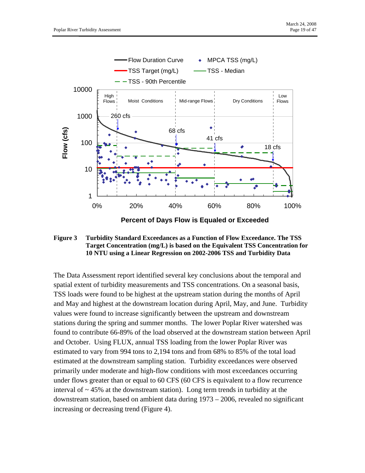<span id="page-23-0"></span>

**Percent of Days Flow is Equaled or Exceeded**

#### **Figure 3 Turbidity Standard Exceedances as a Function of Flow Exceedance. The TSS Target Concentration (mg/L) is based on the Equivalent TSS Concentration for 10 NTU using a Linear Regression on 2002-2006 TSS and Turbidity Data**

The Data Assessment report identified several key conclusions about the temporal and spatial extent of turbidity measurements and TSS concentrations. On a seasonal basis, TSS loads were found to be highest at the upstream station during the months of April and May and highest at the downstream location during April, May, and June. Turbidity values were found to increase significantly between the upstream and downstream stations during the spring and summer months. The lower Poplar River watershed was found to contribute 66-89% of the load observed at the downstream station between April and October. Using FLUX, annual TSS loading from the lower Poplar River was estimated to vary from 994 tons to 2,194 tons and from 68% to 85% of the total load estimated at the downstream sampling station. Turbidity exceedances were observed primarily under moderate and high-flow conditions with most exceedances occurring under flows greater than or equal to 60 CFS (60 CFS is equivalent to a flow recurrence interval of  $\sim$  45% at the downstream station). Long term trends in turbidity at the downstream station, based on ambient data during 1973 – 2006, revealed no significant increasing or decreasing trend (Figure 4).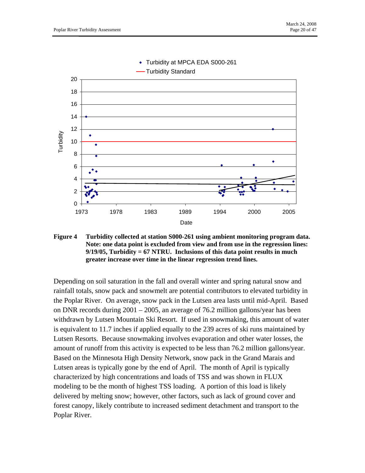<span id="page-24-0"></span>

**Figure 4 Turbidity collected at station S000-261 using ambient monitoring program data. Note: one data point is excluded from view and from use in the regression lines: 9/19/05, Turbidity = 67 NTRU. Inclusions of this data point results in much greater increase over time in the linear regression trend lines.** 

Depending on soil saturation in the fall and overall winter and spring natural snow and rainfall totals, snow pack and snowmelt are potential contributors to elevated turbidity in the Poplar River. On average, snow pack in the Lutsen area lasts until mid-April. Based on DNR records during  $2001 - 2005$ , an average of 76.2 million gallons/year has been withdrawn by Lutsen Mountain Ski Resort. If used in snowmaking, this amount of water is equivalent to 11.7 inches if applied equally to the 239 acres of ski runs maintained by Lutsen Resorts. Because snowmaking involves evaporation and other water losses, the amount of runoff from this activity is expected to be less than 76.2 million gallons/year. Based on the Minnesota High Density Network, snow pack in the Grand Marais and Lutsen areas is typically gone by the end of April. The month of April is typically characterized by high concentrations and loads of TSS and was shown in FLUX modeling to be the month of highest TSS loading. A portion of this load is likely delivered by melting snow; however, other factors, such as lack of ground cover and forest canopy, likely contribute to increased sediment detachment and transport to the Poplar River.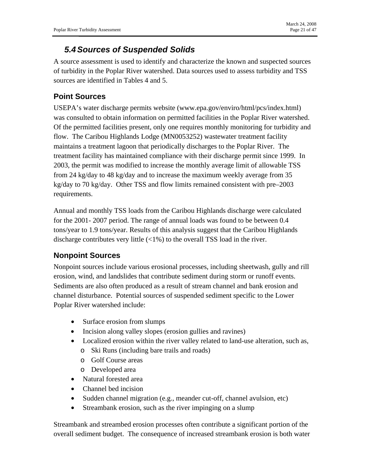# <span id="page-25-0"></span>*5.4Sources of Suspended Solids*

A source assessment is used to identify and characterize the known and suspected sources of turbidity in the Poplar River watershed. Data sources used to assess turbidity and TSS sources are identified in Tables 4 and 5.

## **Point Sources**

USEPA's water discharge permits website (www.epa.gov/enviro/html/pcs/index.html) was consulted to obtain information on permitted facilities in the Poplar River watershed. Of the permitted facilities present, only one requires monthly monitoring for turbidity and flow. The Caribou Highlands Lodge (MN0053252) wastewater treatment facility maintains a treatment lagoon that periodically discharges to the Poplar River. The treatment facility has maintained compliance with their discharge permit since 1999. In 2003, the permit was modified to increase the monthly average limit of allowable TSS from 24 kg/day to 48 kg/day and to increase the maximum weekly average from 35 kg/day to 70 kg/day. Other TSS and flow limits remained consistent with pre–2003 requirements.

Annual and monthly TSS loads from the Caribou Highlands discharge were calculated for the 2001- 2007 period. The range of annual loads was found to be between 0.4 tons/year to 1.9 tons/year. Results of this analysis suggest that the Caribou Highlands discharge contributes very little  $\left($ <1%) to the overall TSS load in the river.

## **Nonpoint Sources**

Nonpoint sources include various erosional processes, including sheetwash, gully and rill erosion, wind, and landslides that contribute sediment during storm or runoff events. Sediments are also often produced as a result of stream channel and bank erosion and channel disturbance. Potential sources of suspended sediment specific to the Lower Poplar River watershed include:

- Surface erosion from slumps
- Incision along valley slopes (erosion gullies and ravines)
- Localized erosion within the river valley related to land-use alteration, such as,
	- o Ski Runs (including bare trails and roads)
	- o Golf Course areas
	- o Developed area
- Natural forested area
- Channel bed incision
- Sudden channel migration (e.g., meander cut-off, channel avulsion, etc)
- Streambank erosion, such as the river impinging on a slump

Streambank and streambed erosion processes often contribute a significant portion of the overall sediment budget. The consequence of increased streambank erosion is both water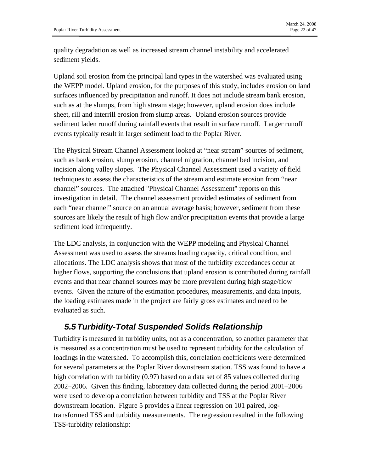<span id="page-26-0"></span>quality degradation as well as increased stream channel instability and accelerated sediment yields.

Upland soil erosion from the principal land types in the watershed was evaluated using the WEPP model. Upland erosion, for the purposes of this study, includes erosion on land surfaces influenced by precipitation and runoff. It does not include stream bank erosion, such as at the slumps, from high stream stage; however, upland erosion does include sheet, rill and interrill erosion from slump areas. Upland erosion sources provide sediment laden runoff during rainfall events that result in surface runoff. Larger runoff events typically result in larger sediment load to the Poplar River.

The Physical Stream Channel Assessment looked at "near stream" sources of sediment, such as bank erosion, slump erosion, channel migration, channel bed incision, and incision along valley slopes. The Physical Channel Assessment used a variety of field techniques to assess the characteristics of the stream and estimate erosion from "near channel" sources. The attached "Physical Channel Assessment" reports on this investigation in detail. The channel assessment provided estimates of sediment from each "near channel" source on an annual average basis; however, sediment from these sources are likely the result of high flow and/or precipitation events that provide a large sediment load infrequently.

The LDC analysis, in conjunction with the WEPP modeling and Physical Channel Assessment was used to assess the streams loading capacity, critical condition, and allocations. The LDC analysis shows that most of the turbidity exceedances occur at higher flows, supporting the conclusions that upland erosion is contributed during rainfall events and that near channel sources may be more prevalent during high stage/flow events. Given the nature of the estimation procedures, measurements, and data inputs, the loading estimates made in the project are fairly gross estimates and need to be evaluated as such.

## *5.5 Turbidity-Total Suspended Solids Relationship*

Turbidity is measured in turbidity units, not as a concentration, so another parameter that is measured as a concentration must be used to represent turbidity for the calculation of loadings in the watershed. To accomplish this, correlation coefficients were determined for several parameters at the Poplar River downstream station. TSS was found to have a high correlation with turbidity (0.97) based on a data set of 85 values collected during 2002–2006. Given this finding, laboratory data collected during the period 2001–2006 were used to develop a correlation between turbidity and TSS at the Poplar River downstream location. Figure 5 provides a linear regression on 101 paired, logtransformed TSS and turbidity measurements. The regression resulted in the following TSS-turbidity relationship: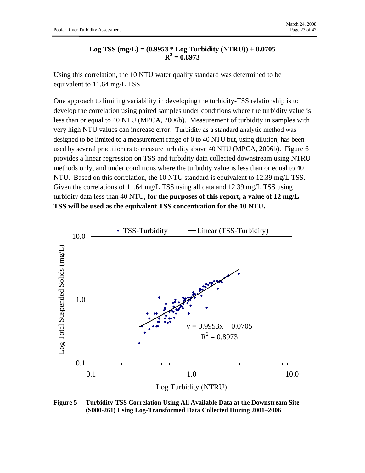#### **Log TSS (mg/L) = (0.9953 \* Log Turbidity (NTRU)) + 0.0705**   $R^2 = 0.8973$

<span id="page-27-0"></span>Using this correlation, the 10 NTU water quality standard was determined to be equivalent to 11.64 mg/L TSS.

One approach to limiting variability in developing the turbidity-TSS relationship is to develop the correlation using paired samples under conditions where the turbidity value is less than or equal to 40 NTU (MPCA, 2006b). Measurement of turbidity in samples with very high NTU values can increase error. Turbidity as a standard analytic method was designed to be limited to a measurement range of 0 to 40 NTU but, using dilution, has been used by several practitioners to measure turbidity above 40 NTU (MPCA, 2006b). Figure 6 provides a linear regression on TSS and turbidity data collected downstream using NTRU methods only, and under conditions where the turbidity value is less than or equal to 40 NTU. Based on this correlation, the 10 NTU standard is equivalent to 12.39 mg/L TSS. Given the correlations of 11.64 mg/L TSS using all data and 12.39 mg/L TSS using turbidity data less than 40 NTU, **for the purposes of this report, a value of 12 mg/L TSS will be used as the equivalent TSS concentration for the 10 NTU.**



**Figure 5 Turbidity-TSS Correlation Using All Available Data at the Downstream Site (S000-261) Using Log-Transformed Data Collected During 2001–2006**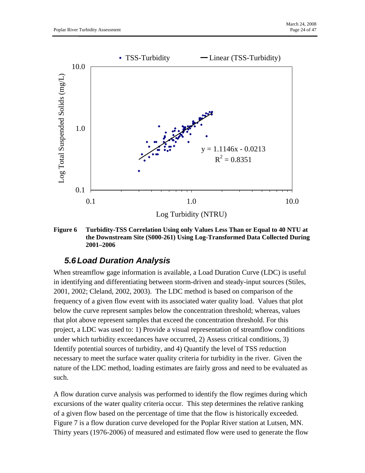<span id="page-28-0"></span>

**Figure 6 Turbidity-TSS Correlation Using only Values Less Than or Equal to 40 NTU at the Downstream Site (S000-261) Using Log-Transformed Data Collected During 2001–2006** 

### *5.6 Load Duration Analysis*

When streamflow gage information is available, a Load Duration Curve (LDC) is useful in identifying and differentiating between storm-driven and steady-input sources (Stiles, 2001, 2002; Cleland, 2002, 2003). The LDC method is based on comparison of the frequency of a given flow event with its associated water quality load. Values that plot below the curve represent samples below the concentration threshold; whereas, values that plot above represent samples that exceed the concentration threshold. For this project, a LDC was used to: 1) Provide a visual representation of streamflow conditions under which turbidity exceedances have occurred, 2) Assess critical conditions, 3) Identify potential sources of turbidity, and 4) Quantify the level of TSS reduction necessary to meet the surface water quality criteria for turbidity in the river. Given the nature of the LDC method, loading estimates are fairly gross and need to be evaluated as such.

A flow duration curve analysis was performed to identify the flow regimes during which excursions of the water quality criteria occur. This step determines the relative ranking of a given flow based on the percentage of time that the flow is historically exceeded. Figure 7 is a flow duration curve developed for the Poplar River station at Lutsen, MN. Thirty years (1976-2006) of measured and estimated flow were used to generate the flow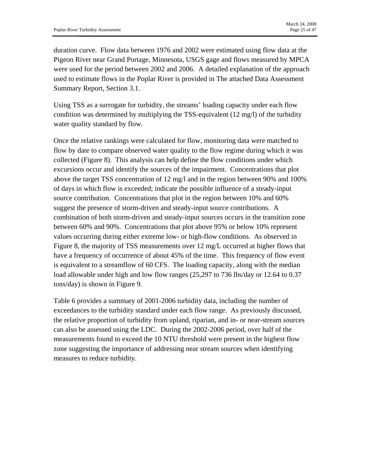duration curve. Flow data between 1976 and 2002 were estimated using flow data at the Pigeon River near Grand Portage, Minnesota, USGS gage and flows measured by MPCA were used for the period between 2002 and 2006. A detailed explanation of the approach used to estimate flows in the Poplar River is provided in The attached Data Assessment Summary Report, Section 3.1.

Using TSS as a surrogate for turbidity, the streams' loading capacity under each flow condition was determined by multiplying the TSS-equivalent (12 mg/l) of the turbidity water quality standard by flow.

Once the relative rankings were calculated for flow, monitoring data were matched to flow by date to compare observed water quality to the flow regime during which it was collected (Figure 8). This analysis can help define the flow conditions under which excursions occur and identify the sources of the impairment. Concentrations that plot above the target TSS concentration of 12 mg/l and in the region between 90% and 100% of days in which flow is exceeded; indicate the possible influence of a steady-input source contribution. Concentrations that plot in the region between 10% and 60% suggest the presence of storm-driven and steady-input source contributions. A combination of both storm-driven and steady-input sources occurs in the transition zone between 60% and 90%. Concentrations that plot above 95% or below 10% represent values occurring during either extreme low- or high-flow conditions. As observed in Figure 8, the majority of TSS measurements over 12 mg/L occurred at higher flows that have a frequency of occurrence of about 45% of the time. This frequency of flow event is equivalent to a streamflow of 60 CFS. The loading capacity, along with the median load allowable under high and low flow ranges (25,297 to 736 lbs/day or 12.64 to 0.37 tons/day) is shown in Figure 9.

Table 6 provides a summary of 2001-2006 turbidity data, including the number of exceedances to the turbidity standard under each flow range. As previously discussed, the relative proportion of turbidity from upland, riparian, and in- or near-stream sources can also be assessed using the LDC. During the 2002-2006 period, over half of the measurements found to exceed the 10 NTU threshold were present in the highest flow zone suggesting the importance of addressing near stream sources when identifying measures to reduce turbidity.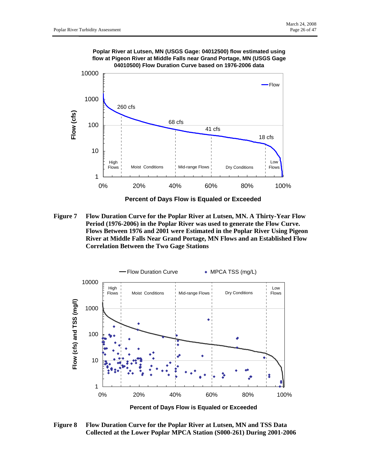<span id="page-30-0"></span>

**Poplar River at Lutsen, MN (USGS Gage: 04012500) flow estimated using flow at Pigeon River at Middle Falls near Grand Portage, MN (USGS Gage 04010500) Flow Duration Curve based on 1976-2006 data**

**Figure 7 Flow Duration Curve for the Poplar River at Lutsen, MN. A Thirty-Year Flow Period (1976-2006) in the Poplar River was used to generate the Flow Curve. Flows Between 1976 and 2001 were Estimated in the Poplar River Using Pigeon River at Middle Falls Near Grand Portage, MN Flows and an Established Flow Correlation Between the Two Gage Stations**



**Percent of Days Flow is Equaled or Exceeded**

**Figure 8 Flow Duration Curve for the Poplar River at Lutsen, MN and TSS Data Collected at the Lower Poplar MPCA Station (S000-261) During 2001-2006**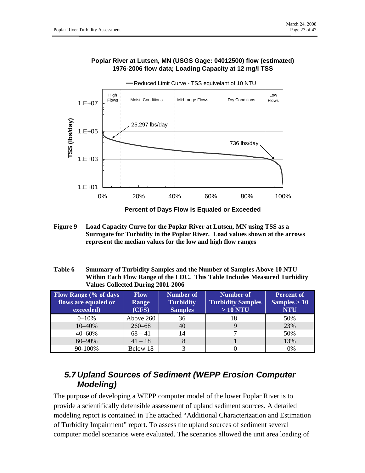#### **Poplar River at Lutsen, MN (USGS Gage: 04012500) flow (estimated) 1976-2006 flow data; Loading Capacity at 12 mg/l TSS**

<span id="page-31-0"></span>

**Percent of Days Flow is Equaled or Exceeded**

- **Figure 9 Load Capacity Curve for the Poplar River at Lutsen, MN using TSS as a Surrogate for Turbidity in the Poplar River. Load values shown at the arrows represent the median values for the low and high flow ranges**
- **Table 6 Summary of Turbidity Samples and the Number of Samples Above 10 NTU Within Each Flow Range of the LDC. This Table Includes Measured Turbidity Values Collected During 2001-2006**

| <b>Flow Range (% of days</b><br>flows are equaled or<br>exceeded) | <b>Flow</b><br>Range<br>(CFS) | Number of<br><b>Turbidity</b><br><b>Samples</b> | Number of<br><b>Turbidity Samples</b><br>$>10$ NTU | <b>Percent of</b><br>Samples > 10<br><b>NTU</b> |
|-------------------------------------------------------------------|-------------------------------|-------------------------------------------------|----------------------------------------------------|-------------------------------------------------|
| $0 - 10\%$                                                        | Above 260                     | 36                                              | 18                                                 | 50%                                             |
| 10-40%                                                            | $260 - 68$                    | 40                                              | 9                                                  | 23%                                             |
| $40 - 60\%$                                                       | $68 - 41$                     | 14                                              | ⇁                                                  | 50%                                             |
| 60-90%                                                            | $41 - 18$                     |                                                 |                                                    | 13%                                             |
| 90-100%                                                           | Below 18                      |                                                 |                                                    | 0%                                              |

## *5.7 Upland Sources of Sediment (WEPP Erosion Computer Modeling)*

The purpose of developing a WEPP computer model of the lower Poplar River is to provide a scientifically defensible assessment of upland sediment sources. A detailed modeling report is contained in The attached "Additional Characterization and Estimation of Turbidity Impairment" report. To assess the upland sources of sediment several computer model scenarios were evaluated. The scenarios allowed the unit area loading of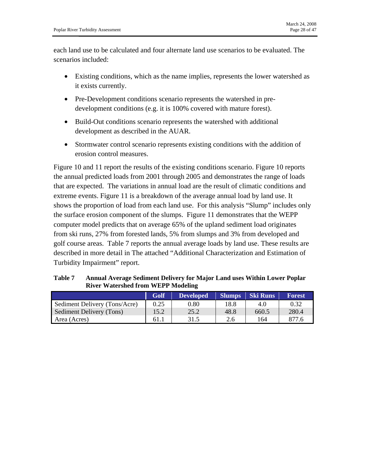<span id="page-32-0"></span>each land use to be calculated and four alternate land use scenarios to be evaluated. The scenarios included:

- Existing conditions, which as the name implies, represents the lower watershed as it exists currently.
- Pre-Development conditions scenario represents the watershed in predevelopment conditions (e.g. it is 100% covered with mature forest).
- Build-Out conditions scenario represents the watershed with additional development as described in the AUAR.
- Stormwater control scenario represents existing conditions with the addition of erosion control measures.

Figure 10 and 11 report the results of the existing conditions scenario. Figure 10 reports the annual predicted loads from 2001 through 2005 and demonstrates the range of loads that are expected. The variations in annual load are the result of climatic conditions and extreme events. Figure 11 is a breakdown of the average annual load by land use. It shows the proportion of load from each land use. For this analysis "Slump" includes only the surface erosion component of the slumps. Figure 11 demonstrates that the WEPP computer model predicts that on average 65% of the upland sediment load originates from ski runs, 27% from forested lands, 5% from slumps and 3% from developed and golf course areas. Table 7 reports the annual average loads by land use. These results are described in more detail in The attached "Additional Characterization and Estimation of Turbidity Impairment" report.

|                               | Golf | <b>Developed</b> | <b>Slumps</b> | <b>Ski Runs</b> | <b>Forest</b> |
|-------------------------------|------|------------------|---------------|-----------------|---------------|
| Sediment Delivery (Tons/Acre) | 0.25 | 0.80             | 18.8          | 4.0             | 0.32          |
| Sediment Delivery (Tons)      | 15.2 | 25.2             | 48.8          | 660.5           | 280.4         |
| Area (Acres)                  | 61.1 | 31.5             | 2.6           | 164             | 877.6         |

**Table 7 Annual Average Sediment Delivery for Major Land uses Within Lower Poplar River Watershed from WEPP Modeling**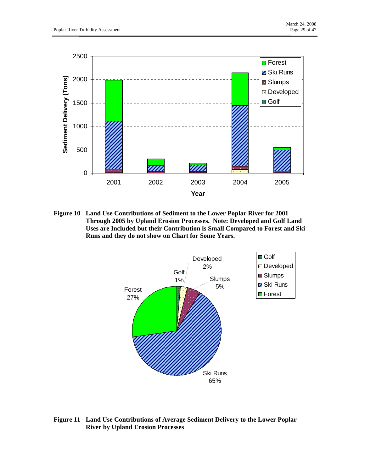<span id="page-33-0"></span>

**Figure 10 Land Use Contributions of Sediment to the Lower Poplar River for 2001 Through 2005 by Upland Erosion Processes. Note: Developed and Golf Land Uses are Included but their Contribution is Small Compared to Forest and Ski Runs and they do not show on Chart for Some Years.** 



**Figure 11 Land Use Contributions of Average Sediment Delivery to the Lower Poplar River by Upland Erosion Processes**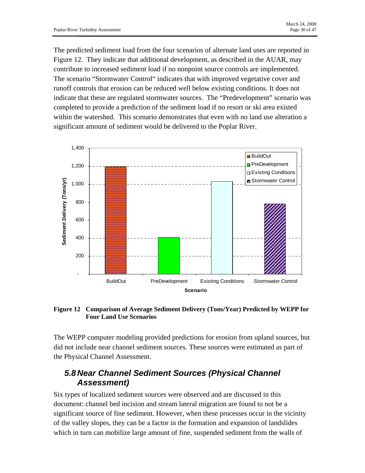<span id="page-34-0"></span>The predicted sediment load from the four scenarios of alternate land uses are reported in Figure 12. They indicate that additional development, as described in the AUAR, may contribute to increased sediment load if no nonpoint source controls are implemented. The scenario "Stormwater Control" indicates that with improved vegetative cover and runoff controls that erosion can be reduced well below existing conditions. It does not indicate that these are regulated stormwater sources. The "Predevelopment" scenario was completed to provide a prediction of the sediment load if no resort or ski area existed within the watershed. This scenario demonstrates that even with no land use alteration a significant amount of sediment would be delivered to the Poplar River.



**Figure 12 Comparison of Average Sediment Delivery (Tons/Year) Predicted by WEPP for Four Land Use Scenarios** 

The WEPP computer modeling provided predictions for erosion from upland sources, but did not include near channel sediment sources. These sources were estimated as part of the Physical Channel Assessment.

## *5.8 Near Channel Sediment Sources (Physical Channel Assessment)*

Six types of localized sediment sources were observed and are discussed in this document: channel bed incision and stream lateral migration are found to not be a significant source of fine sediment. However, when these processes occur in the vicinity of the valley slopes, they can be a factor in the formation and expansion of landslides which in turn can mobilize large amount of fine, suspended sediment from the walls of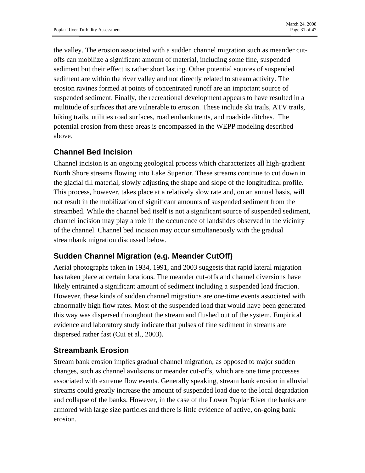the valley. The erosion associated with a sudden channel migration such as meander cutoffs can mobilize a significant amount of material, including some fine, suspended sediment but their effect is rather short lasting. Other potential sources of suspended sediment are within the river valley and not directly related to stream activity. The erosion ravines formed at points of concentrated runoff are an important source of suspended sediment. Finally, the recreational development appears to have resulted in a multitude of surfaces that are vulnerable to erosion. These include ski trails, ATV trails, hiking trails, utilities road surfaces, road embankments, and roadside ditches. The potential erosion from these areas is encompassed in the WEPP modeling described above.

### **Channel Bed Incision**

Channel incision is an ongoing geological process which characterizes all high-gradient North Shore streams flowing into Lake Superior. These streams continue to cut down in the glacial till material, slowly adjusting the shape and slope of the longitudinal profile. This process, however, takes place at a relatively slow rate and, on an annual basis, will not result in the mobilization of significant amounts of suspended sediment from the streambed. While the channel bed itself is not a significant source of suspended sediment, channel incision may play a role in the occurrence of landslides observed in the vicinity of the channel. Channel bed incision may occur simultaneously with the gradual streambank migration discussed below.

## **Sudden Channel Migration (e.g. Meander CutOff)**

Aerial photographs taken in 1934, 1991, and 2003 suggests that rapid lateral migration has taken place at certain locations. The meander cut-offs and channel diversions have likely entrained a significant amount of sediment including a suspended load fraction. However, these kinds of sudden channel migrations are one-time events associated with abnormally high flow rates. Most of the suspended load that would have been generated this way was dispersed throughout the stream and flushed out of the system. Empirical evidence and laboratory study indicate that pulses of fine sediment in streams are dispersed rather fast (Cui et al., 2003).

### **Streambank Erosion**

Stream bank erosion implies gradual channel migration, as opposed to major sudden changes, such as channel avulsions or meander cut-offs, which are one time processes associated with extreme flow events. Generally speaking, stream bank erosion in alluvial streams could greatly increase the amount of suspended load due to the local degradation and collapse of the banks. However, in the case of the Lower Poplar River the banks are armored with large size particles and there is little evidence of active, on-going bank erosion.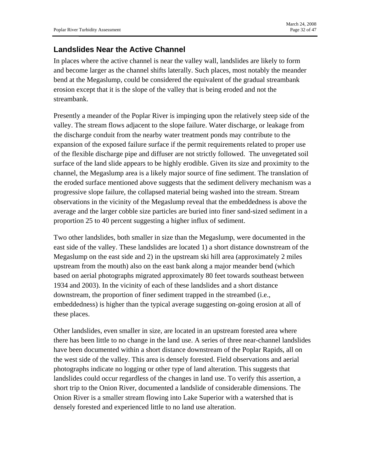## **Landslides Near the Active Channel**

In places where the active channel is near the valley wall, landslides are likely to form and become larger as the channel shifts laterally. Such places, most notably the meander bend at the Megaslump, could be considered the equivalent of the gradual streambank erosion except that it is the slope of the valley that is being eroded and not the streambank.

Presently a meander of the Poplar River is impinging upon the relatively steep side of the valley. The stream flows adjacent to the slope failure. Water discharge, or leakage from the discharge conduit from the nearby water treatment ponds may contribute to the expansion of the exposed failure surface if the permit requirements related to proper use of the flexible discharge pipe and diffuser are not strictly followed. The unvegetated soil surface of the land slide appears to be highly erodible. Given its size and proximity to the channel, the Megaslump area is a likely major source of fine sediment. The translation of the eroded surface mentioned above suggests that the sediment delivery mechanism was a progressive slope failure, the collapsed material being washed into the stream. Stream observations in the vicinity of the Megaslump reveal that the embeddedness is above the average and the larger cobble size particles are buried into finer sand-sized sediment in a proportion 25 to 40 percent suggesting a higher influx of sediment.

Two other landslides, both smaller in size than the Megaslump, were documented in the east side of the valley. These landslides are located 1) a short distance downstream of the Megaslump on the east side and 2) in the upstream ski hill area (approximately 2 miles upstream from the mouth) also on the east bank along a major meander bend (which based on aerial photographs migrated approximately 80 feet towards southeast between 1934 and 2003). In the vicinity of each of these landslides and a short distance downstream, the proportion of finer sediment trapped in the streambed (i.e., embeddedness) is higher than the typical average suggesting on-going erosion at all of these places.

Other landslides, even smaller in size, are located in an upstream forested area where there has been little to no change in the land use. A series of three near-channel landslides have been documented within a short distance downstream of the Poplar Rapids, all on the west side of the valley. This area is densely forested. Field observations and aerial photographs indicate no logging or other type of land alteration. This suggests that landslides could occur regardless of the changes in land use. To verify this assertion, a short trip to the Onion River, documented a landslide of considerable dimensions. The Onion River is a smaller stream flowing into Lake Superior with a watershed that is densely forested and experienced little to no land use alteration.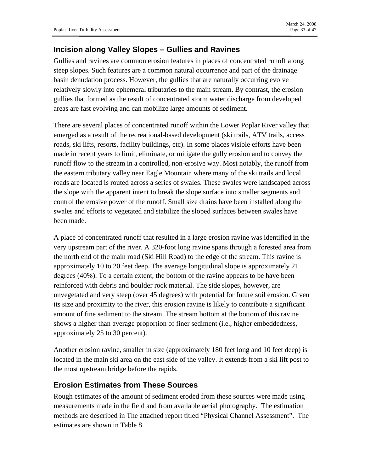### **Incision along Valley Slopes – Gullies and Ravines**

Gullies and ravines are common erosion features in places of concentrated runoff along steep slopes. Such features are a common natural occurrence and part of the drainage basin denudation process. However, the gullies that are naturally occurring evolve relatively slowly into ephemeral tributaries to the main stream. By contrast, the erosion gullies that formed as the result of concentrated storm water discharge from developed areas are fast evolving and can mobilize large amounts of sediment.

There are several places of concentrated runoff within the Lower Poplar River valley that emerged as a result of the recreational-based development (ski trails, ATV trails, access roads, ski lifts, resorts, facility buildings, etc). In some places visible efforts have been made in recent years to limit, eliminate, or mitigate the gully erosion and to convey the runoff flow to the stream in a controlled, non-erosive way. Most notably, the runoff from the eastern tributary valley near Eagle Mountain where many of the ski trails and local roads are located is routed across a series of swales. These swales were landscaped across the slope with the apparent intent to break the slope surface into smaller segments and control the erosive power of the runoff. Small size drains have been installed along the swales and efforts to vegetated and stabilize the sloped surfaces between swales have been made.

A place of concentrated runoff that resulted in a large erosion ravine was identified in the very upstream part of the river. A 320-foot long ravine spans through a forested area from the north end of the main road (Ski Hill Road) to the edge of the stream. This ravine is approximately 10 to 20 feet deep. The average longitudinal slope is approximately 21 degrees (40%). To a certain extent, the bottom of the ravine appears to be have been reinforced with debris and boulder rock material. The side slopes, however, are unvegetated and very steep (over 45 degrees) with potential for future soil erosion. Given its size and proximity to the river, this erosion ravine is likely to contribute a significant amount of fine sediment to the stream. The stream bottom at the bottom of this ravine shows a higher than average proportion of finer sediment (i.e., higher embeddedness, approximately 25 to 30 percent).

Another erosion ravine, smaller in size (approximately 180 feet long and 10 feet deep) is located in the main ski area on the east side of the valley. It extends from a ski lift post to the most upstream bridge before the rapids.

### **Erosion Estimates from These Sources**

Rough estimates of the amount of sediment eroded from these sources were made using measurements made in the field and from available aerial photography. The estimation methods are described in The attached report titled "Physical Channel Assessment". The estimates are shown in Table 8.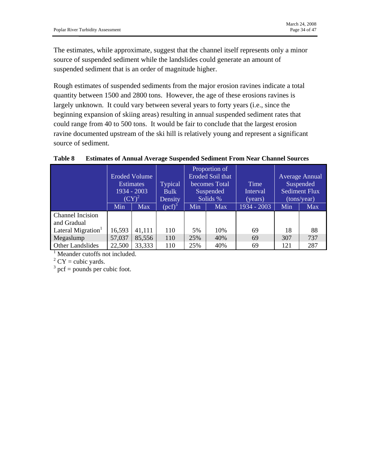<span id="page-38-0"></span>The estimates, while approximate, suggest that the channel itself represents only a minor source of suspended sediment while the landslides could generate an amount of suspended sediment that is an order of magnitude higher.

Rough estimates of suspended sediments from the major erosion ravines indicate a total quantity between 1500 and 2800 tons. However, the age of these erosions ravines is largely unknown. It could vary between several years to forty years (i.e., since the beginning expansion of skiing areas) resulting in annual suspended sediment rates that could range from 40 to 500 tons. It would be fair to conclude that the largest erosion ravine documented upstream of the ski hill is relatively young and represent a significant source of sediment.

|                                | <b>Eroded Volume</b><br><b>Estimates</b> |            | <b>Typical</b>         |                       | Proportion of<br>Eroded Soil that<br>becomes Total | Time                | <b>Average Annual</b><br>Suspended  |            |
|--------------------------------|------------------------------------------|------------|------------------------|-----------------------|----------------------------------------------------|---------------------|-------------------------------------|------------|
|                                | 1934 - 2003<br>$(CY)^2$                  |            | <b>Bulk</b><br>Density | Suspended<br>Solids % |                                                    | Interval<br>(years) | <b>Sediment Flux</b><br>(tons/year) |            |
|                                | Min                                      | <b>Max</b> | $(pcf)^3$              | Min                   | <b>Max</b>                                         | 1934 - 2003         | Min                                 | <b>Max</b> |
| <b>Channel Incision</b>        |                                          |            |                        |                       |                                                    |                     |                                     |            |
| and Gradual                    |                                          |            |                        |                       |                                                    |                     |                                     |            |
| Lateral Migration <sup>1</sup> | 16,593                                   | 41,111     | 110                    | 5%                    | 10%                                                | 69                  | 18                                  | 88         |
| Megaslump                      | 57,037                                   | 85,556     | 110                    | 25%                   | 40%                                                | 69                  | 307                                 | 737        |
| Other Landslides               | 22,500                                   | 33,333     | 110                    | 25%                   | 40%                                                | 69                  | 121                                 | 287        |

**Table 8 Estimates of Annual Average Suspended Sediment From Near Channel Sources** 

<sup>1</sup> Meander cutoffs not included.

 $2^2$  CY = cubic yards.

 $3 \text{ pcf} = \text{pounds per cubic foot.}$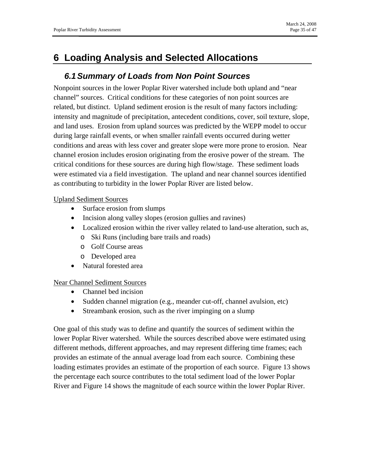# <span id="page-39-0"></span>**6 Loading Analysis and Selected Allocations**

# *6.1Summary of Loads from Non Point Sources*

Nonpoint sources in the lower Poplar River watershed include both upland and "near channel" sources. Critical conditions for these categories of non point sources are related, but distinct. Upland sediment erosion is the result of many factors including: intensity and magnitude of precipitation, antecedent conditions, cover, soil texture, slope, and land uses. Erosion from upland sources was predicted by the WEPP model to occur during large rainfall events, or when smaller rainfall events occurred during wetter conditions and areas with less cover and greater slope were more prone to erosion. Near channel erosion includes erosion originating from the erosive power of the stream. The critical conditions for these sources are during high flow/stage. These sediment loads were estimated via a field investigation. The upland and near channel sources identified as contributing to turbidity in the lower Poplar River are listed below.

#### Upland Sediment Sources

- Surface erosion from slumps
- Incision along valley slopes (erosion gullies and ravines)
- Localized erosion within the river valley related to land-use alteration, such as,
	- o Ski Runs (including bare trails and roads)
	- o Golf Course areas
	- o Developed area
- Natural forested area

#### Near Channel Sediment Sources

- Channel bed incision
- Sudden channel migration (e.g., meander cut-off, channel avulsion, etc)
- Streambank erosion, such as the river impinging on a slump

One goal of this study was to define and quantify the sources of sediment within the lower Poplar River watershed. While the sources described above were estimated using different methods, different approaches, and may represent differing time frames; each provides an estimate of the annual average load from each source. Combining these loading estimates provides an estimate of the proportion of each source. Figure 13 shows the percentage each source contributes to the total sediment load of the lower Poplar River and Figure 14 shows the magnitude of each source within the lower Poplar River.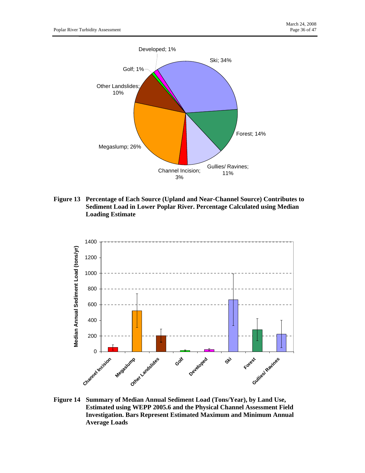<span id="page-40-0"></span>

**Figure 13 Percentage of Each Source (Upland and Near-Channel Source) Contributes to Sediment Load in Lower Poplar River. Percentage Calculated using Median Loading Estimate** 



**Figure 14 Summary of Median Annual Sediment Load (Tons/Year), by Land Use, Estimated using WEPP 2005.6 and the Physical Channel Assessment Field Investigation. Bars Represent Estimated Maximum and Minimum Annual Average Loads**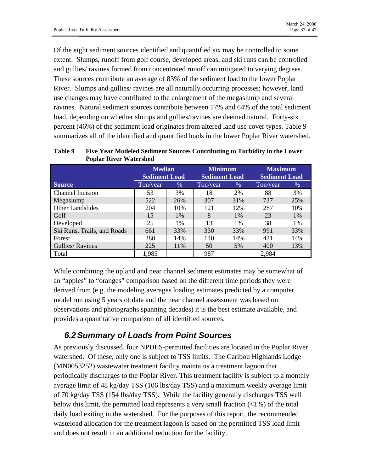<span id="page-41-0"></span>Of the eight sediment sources identified and quantified six may be controlled to some extent. Slumps, runoff from golf course, developed areas, and ski runs can be controlled and gullies/ ravines formed from concentrated runoff can mitigated to varying degrees. These sources contribute an average of 83% of the sediment load to the lower Poplar River. Slumps and gullies/ ravines are all naturally occurring processes; however, land use changes may have contributed to the enlargement of the megaslump and several ravines. Natural sediment sources contribute between 17% and 64% of the total sediment load, depending on whether slumps and gullies/ravines are deemed natural. Forty-six percent (46%) of the sediment load originates from altered land use cover types. Table 9 summarizes all of the identified and quantified loads in the lower Poplar River watershed.

|                             | <b>Median</b><br><b>Sediment Load</b> |       | <b>Minimum</b><br><b>Sediment Load</b> |       | <b>Maximum</b><br><b>Sediment Load</b> |       |
|-----------------------------|---------------------------------------|-------|----------------------------------------|-------|----------------------------------------|-------|
| <b>Source</b>               | Ton/year                              | $\%$  | Ton/year                               | $\%$  | Ton/year                               | $\%$  |
| <b>Channel Incision</b>     | 53                                    | 3%    | 18                                     | 2%    | 88                                     | 3%    |
| Megaslump                   | 522                                   | 26%   | 307                                    | 31%   | 737                                    | 25%   |
| <b>Other Landslides</b>     | 204                                   | 10%   | 121                                    | 12%   | 287                                    | 10%   |
| Golf                        | 15                                    | $1\%$ | 8                                      | $1\%$ | 23                                     | $1\%$ |
| Developed                   | 25                                    | 1%    | 13                                     | $1\%$ | 38                                     | $1\%$ |
| Ski Runs, Trails, and Roads | 661                                   | 33%   | 330                                    | 33%   | 991                                    | 33%   |
| Forest                      | 280                                   | 14%   | 140                                    | 14%   | 421                                    | 14%   |
| Gullies/Ravines             | 225                                   | 11%   | 50                                     | 5%    | 400                                    | 13%   |
| Total                       | 1,985                                 |       | 987                                    |       | 2,984                                  |       |

**Table 9 Five Year Modeled Sediment Sources Contributing to Turbidity in the Lower Poplar River Watershed** 

While combining the upland and near channel sediment estimates may be somewhat of an "apples" to "oranges" comparison based on the different time periods they were derived from (e.g. the modeling averages loading estimates predicted by a computer model run using 5 years of data and the near channel assessment was based on observations and photographs spanning decades) it is the best estimate available, and provides a quantitative comparison of all identified sources.

## *6.2Summary of Loads from Point Sources*

As previously discussed, four NPDES-permitted facilities are located in the Poplar River watershed. Of these, only one is subject to TSS limits. The Caribou Highlands Lodge (MN0053252) wastewater treatment facility maintains a treatment lagoon that periodically discharges to the Poplar River. This treatment facility is subject to a monthly average limit of 48 kg/day TSS (106 lbs/day TSS) and a maximum weekly average limit of 70 kg/day TSS (154 lbs/day TSS). While the facility generally discharges TSS well below this limit, the permitted load represents a very small fraction  $\left($ <1%) of the total daily load exiting in the watershed. For the purposes of this report, the recommended wasteload allocation for the treatment lagoon is based on the permitted TSS load limit and does not result in an additional reduction for the facility.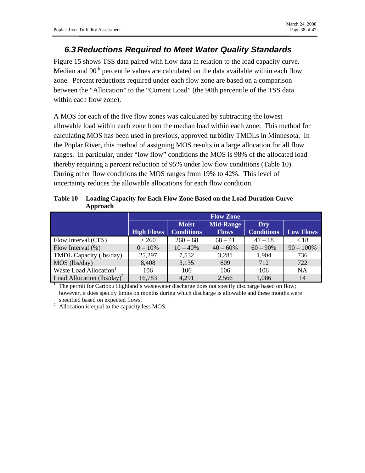### <span id="page-42-0"></span>*6.3 Reductions Required to Meet Water Quality Standards*

Figure 15 shows TSS data paired with flow data in relation to the load capacity curve. Median and  $90<sup>th</sup>$  percentile values are calculated on the data available within each flow zone. Percent reductions required under each flow zone are based on a comparison between the "Allocation" to the "Current Load" (the 90th percentile of the TSS data within each flow zone).

A MOS for each of the five flow zones was calculated by subtracting the lowest allowable load within each zone from the median load within each zone. This method for calculating MOS has been used in previous, approved turbidity TMDLs in Minnesota. In the Poplar River, this method of assigning MOS results in a large allocation for all flow ranges. In particular, under "low flow" conditions the MOS is 98% of the allocated load thereby requiring a percent reduction of 95% under low flow conditions (Table 10). During other flow conditions the MOS ranges from 19% to 42%. This level of uncertainty reduces the allowable allocations for each flow condition.

| Table 10 | Loading Capacity for Each Flow Zone Based on the Load Duration Curve<br>Approach |  |  |               |  |  |  |
|----------|----------------------------------------------------------------------------------|--|--|---------------|--|--|--|
|          |                                                                                  |  |  |               |  |  |  |
|          |                                                                                  |  |  | <b>BELLEY</b> |  |  |  |

|                                                                                                  | <b>Flow Zone</b>  |                   |                  |                   |                  |  |  |  |
|--------------------------------------------------------------------------------------------------|-------------------|-------------------|------------------|-------------------|------------------|--|--|--|
|                                                                                                  |                   | <b>Moist</b>      | <b>Mid-Range</b> | Dry               |                  |  |  |  |
|                                                                                                  | <b>High Flows</b> | <b>Conditions</b> | <b>Flows</b>     | <b>Conditions</b> | <b>Low Flows</b> |  |  |  |
| Flow Interval (CFS)                                                                              | > 260             | $260 - 68$        | $68 - 41$        | $41 - 18$         | < 18             |  |  |  |
| Flow Interval $(\%)$                                                                             | $0 - 10\%$        | $10 - 40%$        | $40 - 60\%$      | $60 - 90\%$       | $90 - 100\%$     |  |  |  |
| TMDL Capacity (lbs/day)                                                                          | 25,297            | 7,532             | 3,281            | 1,904             | 736              |  |  |  |
| MOS (lbs/day)                                                                                    | 8,408             | 3,135             | 609              | 712               | 722              |  |  |  |
| Waste Load Allocation <sup>1</sup>                                                               | 106               | 106               | 106              | 106               | NA               |  |  |  |
| Load Allocation $(lbs/day)^2$                                                                    | 16,783            | 4,291             | 2,566            | 1,086             | 14               |  |  |  |
| The permit for Caribou Highland's wastewater discharge does not specify discharge based on flow; |                   |                   |                  |                   |                  |  |  |  |

however, it does specify limits on months during which discharge is allowable and these months were specified based on expected flows.

<sup>2</sup> Allocation is equal to the capacity less MOS.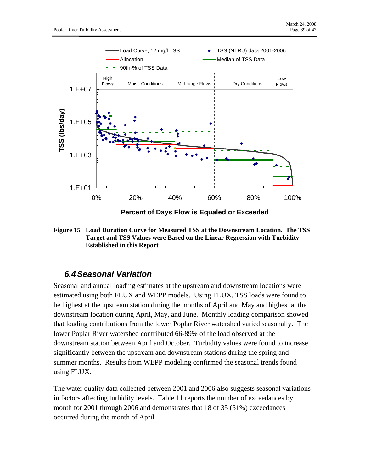<span id="page-43-0"></span>

**Figure 15 Load Duration Curve for Measured TSS at the Downstream Location. The TSS Target and TSS Values were Based on the Linear Regression with Turbidity Established in this Report** 

### *6.4Seasonal Variation*

Seasonal and annual loading estimates at the upstream and downstream locations were estimated using both FLUX and WEPP models. Using FLUX, TSS loads were found to be highest at the upstream station during the months of April and May and highest at the downstream location during April, May, and June. Monthly loading comparison showed that loading contributions from the lower Poplar River watershed varied seasonally. The lower Poplar River watershed contributed 66-89% of the load observed at the downstream station between April and October. Turbidity values were found to increase significantly between the upstream and downstream stations during the spring and summer months. Results from WEPP modeling confirmed the seasonal trends found using FLUX.

The water quality data collected between 2001 and 2006 also suggests seasonal variations in factors affecting turbidity levels. Table 11 reports the number of exceedances by month for 2001 through 2006 and demonstrates that 18 of 35 (51%) exceedances occurred during the month of April.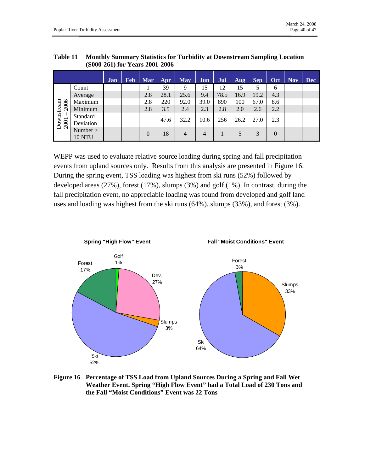|                           |                       | Jan | <b>Feb</b> | Mar      | Apr  | <b>May</b> | Jun  | Jul  | Aug  | Sep. | Oct            | Nov | <b>Dec</b> |
|---------------------------|-----------------------|-----|------------|----------|------|------------|------|------|------|------|----------------|-----|------------|
| Downstream<br>2001 – 2006 | Count                 |     |            |          | 39   | 9          | 15   | 12   | 15   |      | 6              |     |            |
|                           | Average               |     |            | 2.8      | 28.1 | 25.6       | 9.4  | 78.5 | 16.9 | 19.2 | 4.3            |     |            |
|                           | Maximum               |     |            | 2.8      | 220  | 92.0       | 39.0 | 890  | 100  | 67.0 | 8.6            |     |            |
|                           | Minimum               |     |            | 2.8      | 3.5  | 2.4        | 2.3  | 2.8  | 2.0  | 2.6  | 2.2            |     |            |
|                           | Standard<br>Deviation |     |            |          | 47.6 | 32.2       | 10.6 | 256  | 26.2 | 27.0 | 2.3            |     |            |
|                           | Number<br>10 NTU      |     |            | $\theta$ | 18   | 4          | 4    |      | 5    | 3    | $\overline{0}$ |     |            |

<span id="page-44-0"></span>

| Table 11 | <b>Monthly Summary Statistics for Turbidity at Downstream Sampling Location</b> |
|----------|---------------------------------------------------------------------------------|
|          | (S000-261) for Years 2001-2006                                                  |

WEPP was used to evaluate relative source loading during spring and fall precipitation events from upland sources only. Results from this analysis are presented in Figure 16. During the spring event, TSS loading was highest from ski runs (52%) followed by developed areas (27%), forest (17%), slumps (3%) and golf (1%). In contrast, during the fall precipitation event, no appreciable loading was found from developed and golf land uses and loading was highest from the ski runs (64%), slumps (33%), and forest (3%).



**Figure 16 Percentage of TSS Load from Upland Sources During a Spring and Fall Wet Weather Event. Spring "High Flow Event" had a Total Load of 230 Tons and the Fall "Moist Conditions" Event was 22 Tons**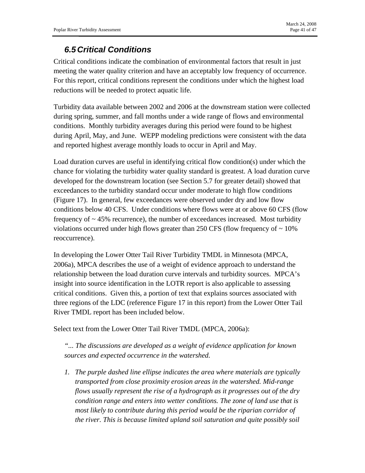# <span id="page-45-0"></span>*6.5 Critical Conditions*

Critical conditions indicate the combination of environmental factors that result in just meeting the water quality criterion and have an acceptably low frequency of occurrence. For this report, critical conditions represent the conditions under which the highest load reductions will be needed to protect aquatic life.

Turbidity data available between 2002 and 2006 at the downstream station were collected during spring, summer, and fall months under a wide range of flows and environmental conditions. Monthly turbidity averages during this period were found to be highest during April, May, and June. WEPP modeling predictions were consistent with the data and reported highest average monthly loads to occur in April and May.

Load duration curves are useful in identifying critical flow condition(s) under which the chance for violating the turbidity water quality standard is greatest. A load duration curve developed for the downstream location (see Section 5.7 for greater detail) showed that exceedances to the turbidity standard occur under moderate to high flow conditions (Figure 17). In general, few exceedances were observed under dry and low flow conditions below 40 CFS. Under conditions where flows were at or above 60 CFS (flow frequency of  $\sim$  45% recurrence), the number of exceedances increased. Most turbidity violations occurred under high flows greater than 250 CFS (flow frequency of  $\sim$  10%) reoccurrence).

In developing the Lower Otter Tail River Turbidity TMDL in Minnesota (MPCA, 2006a), MPCA describes the use of a weight of evidence approach to understand the relationship between the load duration curve intervals and turbidity sources. MPCA's insight into source identification in the LOTR report is also applicable to assessing critical conditions. Given this, a portion of text that explains sources associated with three regions of the LDC (reference Figure 17 in this report) from the Lower Otter Tail River TMDL report has been included below.

Select text from the Lower Otter Tail River TMDL (MPCA, 2006a):

*"... The discussions are developed as a weight of evidence application for known sources and expected occurrence in the watershed.* 

*1. The purple dashed line ellipse indicates the area where materials are typically transported from close proximity erosion areas in the watershed. Mid-range flows usually represent the rise of a hydrograph as it progresses out of the dry condition range and enters into wetter conditions. The zone of land use that is most likely to contribute during this period would be the riparian corridor of the river. This is because limited upland soil saturation and quite possibly soil*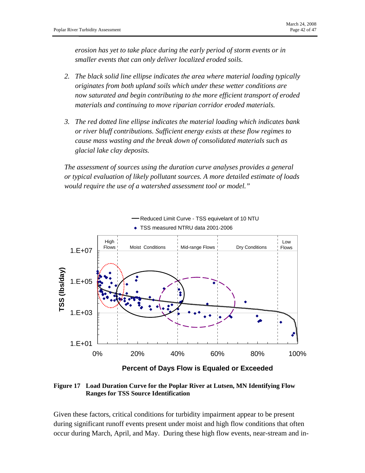<span id="page-46-0"></span>*erosion has yet to take place during the early period of storm events or in smaller events that can only deliver localized eroded soils.* 

- *2. The black solid line ellipse indicates the area where material loading typically originates from both upland soils which under these wetter conditions are now saturated and begin contributing to the more efficient transport of eroded materials and continuing to move riparian corridor eroded materials.*
- *3. The red dotted line ellipse indicates the material loading which indicates bank or river bluff contributions. Sufficient energy exists at these flow regimes to cause mass wasting and the break down of consolidated materials such as glacial lake clay deposits.*

*The assessment of sources using the duration curve analyses provides a general or typical evaluation of likely pollutant sources. A more detailed estimate of loads would require the use of a watershed assessment tool or model."* 



**Percent of Days Flow is Equaled or Exceeded**

**Figure 17 Load Duration Curve for the Poplar River at Lutsen, MN Identifying Flow Ranges for TSS Source Identification** 

Given these factors, critical conditions for turbidity impairment appear to be present during significant runoff events present under moist and high flow conditions that often occur during March, April, and May. During these high flow events, near-stream and in-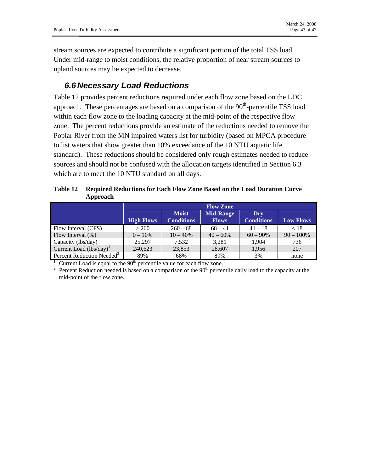<span id="page-47-0"></span>stream sources are expected to contribute a significant portion of the total TSS load. Under mid-range to moist conditions, the relative proportion of near stream sources to upland sources may be expected to decrease.

## *6.6 Necessary Load Reductions*

Table 12 provides percent reductions required under each flow zone based on the LDC approach. These percentages are based on a comparison of the  $90<sup>th</sup>$ -percentile TSS load within each flow zone to the loading capacity at the mid-point of the respective flow zone. The percent reductions provide an estimate of the reductions needed to remove the Poplar River from the MN impaired waters list for turbidity (based on MPCA procedure to list waters that show greater than 10% exceedance of the 10 NTU aquatic life standard). These reductions should be considered only rough estimates needed to reduce sources and should not be confused with the allocation targets identified in Section 6.3 which are to meet the 10 NTU standard on all days.

| Table 12 |          | <b>Required Reductions for Each Flow Zone Based on the Load Duration Curve</b> |
|----------|----------|--------------------------------------------------------------------------------|
|          | Approach |                                                                                |
|          |          | Flow Zone                                                                      |

|                                       | <b>Flow Zone</b>  |                   |              |                   |                  |  |  |
|---------------------------------------|-------------------|-------------------|--------------|-------------------|------------------|--|--|
|                                       |                   | <b>Moist</b>      | Mid-Range    | Dry               |                  |  |  |
|                                       | <b>High Flows</b> | <b>Conditions</b> | <b>Flows</b> | <b>Conditions</b> | <b>Low Flows</b> |  |  |
| Flow Interval (CFS)                   | > 260             | $260 - 68$        | $68 - 41$    | $41 - 18$         | < 18             |  |  |
| Flow Interval $(\%)$                  | $0 - 10\%$        | $10 - 40\%$       | $40 - 60\%$  | $60 - 90\%$       | $90 - 100\%$     |  |  |
| Capacity (lbs/day)                    | 25,297            | 7.532             | 3.281        | 1.904             | 736              |  |  |
| Current Load $(lbs/day)^T$            | 240,623           | 23,853            | 28,607       | 1,956             | 207              |  |  |
| Percent Reduction Needed <sup>2</sup> | 89%               | 68%               | 89%          | 3%                | none             |  |  |

<sup>1</sup> Current Load is equal to the  $90<sup>th</sup>$  percentile value for each flow zone.

<sup>2</sup> Percent Reduction needed is based on a comparison of the  $90<sup>th</sup>$  percentile daily load to the capacity at the mid-point of the flow zone.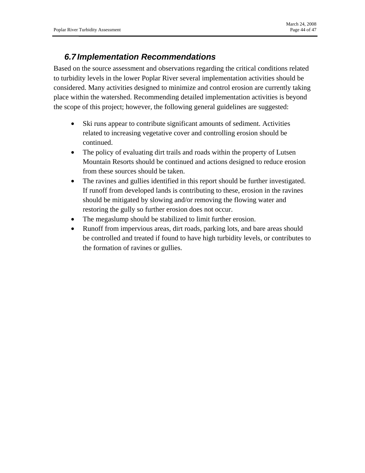## <span id="page-48-0"></span>*6.7 Implementation Recommendations*

Based on the source assessment and observations regarding the critical conditions related to turbidity levels in the lower Poplar River several implementation activities should be considered. Many activities designed to minimize and control erosion are currently taking place within the watershed. Recommending detailed implementation activities is beyond the scope of this project; however, the following general guidelines are suggested:

- Ski runs appear to contribute significant amounts of sediment. Activities related to increasing vegetative cover and controlling erosion should be continued.
- The policy of evaluating dirt trails and roads within the property of Lutsen Mountain Resorts should be continued and actions designed to reduce erosion from these sources should be taken.
- The ravines and gullies identified in this report should be further investigated. If runoff from developed lands is contributing to these, erosion in the ravines should be mitigated by slowing and/or removing the flowing water and restoring the gully so further erosion does not occur.
- The megaslump should be stabilized to limit further erosion.
- Runoff from impervious areas, dirt roads, parking lots, and bare areas should be controlled and treated if found to have high turbidity levels, or contributes to the formation of ravines or gullies.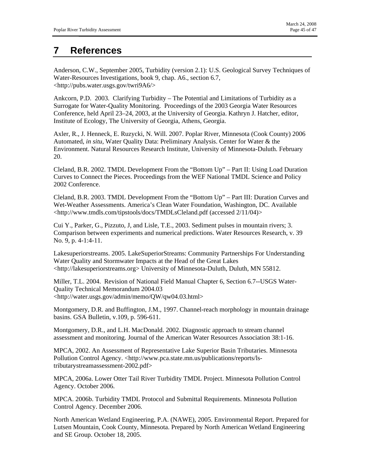# <span id="page-49-0"></span>**7 References**

Anderson, C.W., September 2005, Turbidity (version 2.1): U.S. Geological Survey Techniques of Water-Resources Investigations, book 9, chap. A6., section 6.7, [<http://pubs.water.usgs.gov/twri9A6/>](http://pubs.water.usgs.gov/twri9A6/)

Ankcorn, P.D. 2003. Clarifying Turbidity – The Potential and Limitations of Turbidity as a Surrogate for Water-Quality Monitoring. Proceedings of the 2003 Georgia Water Resources Conference, held April 23–24, 2003, at the University of Georgia. Kathryn J. Hatcher, editor, Institute of Ecology, The University of Georgia, Athens, Georgia.

Axler, R., J. Henneck, E. Ruzycki, N. Will. 2007. Poplar River, Minnesota (Cook County) 2006 Automated, *in situ*, Water Quality Data: Preliminary Analysis. Center for Water & the Environment. Natural Resources Research Institute, University of Minnesota-Duluth. February 20.

Cleland, B.R. 2002. TMDL Development From the "Bottom Up" – Part II: Using Load Duration Curves to Connect the Pieces. Proceedings from the WEF National TMDL Science and Policy 2002 Conference.

Cleland, B.R. 2003. TMDL Development From the "Bottom Up" – Part III: Duration Curves and Wet-Weather Assessments. America's Clean Water Foundation, Washington, DC. Available <http://www.tmdls.com/tipstools/docs/TMDLsCleland.pdf (accessed 2/11/04)>

Cui Y., Parker, G., Pizzuto, J, and Lisle, T.E., 2003. Sediment pulses in mountain rivers; 3. Comparison between experiments and numerical predictions. Water Resources Research, v. 39 No. 9, p. 4-1:4-11.

Lakesuperiorstreams. 2005. LakeSuperiorStreams: Community Partnerships For Understanding Water Quality and Stormwater Impacts at the Head of the Great Lakes <http://lakesuperiorstreams.org> University of Minnesota-Duluth, Duluth, MN 55812.

Miller, T.L. 2004. Revision of National Field Manual Chapter 6, Section 6.7--USGS Water-Quality Technical Memorandum 2004.03 [<http://water.usgs.gov/admin/memo/QW/qw04.03.html](http://water.usgs.gov/admin/memo/QW/qw04.03.html)>

Montgomery, D.R. and Buffington, J.M., 1997. Channel-reach morphology in mountain drainage basins. GSA Bulletin, v.109, p. 596-611.

Montgomery, D.R., and L.H. MacDonald. 2002. Diagnostic approach to stream channel assessment and monitoring. Journal of the American Water Resources Association 38:1-16.

MPCA, 2002. An Assessment of Representative Lake Superior Basin Tributaries. Minnesota Pollution Control Agency. <http://www.pca.state.mn.us/publications/reports/lstributarystreamassessment-2002.pdf>

MPCA, 2006a. Lower Otter Tail River Turbidity TMDL Project. Minnesota Pollution Control Agency. October 2006.

MPCA. 2006b. Turbidity TMDL Protocol and Submittal Requirements. Minnesota Pollution Control Agency. December 2006.

North American Wetland Engineering, P.A. (NAWE), 2005. Environmental Report. Prepared for Lutsen Mountain, Cook County, Minnesota. Prepared by North American Wetland Engineering and SE Group. October 18, 2005.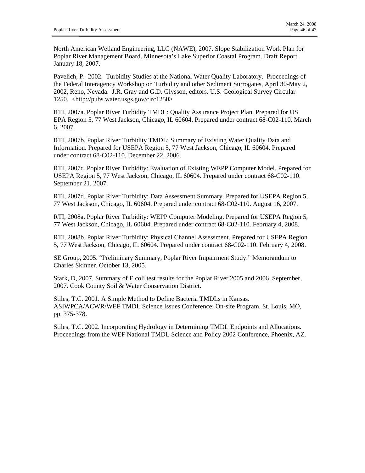North American Wetland Engineering, LLC (NAWE), 2007. Slope Stabilization Work Plan for Poplar River Management Board. Minnesota's Lake Superior Coastal Program. Draft Report. January 18, 2007.

Pavelich, P. 2002. Turbidity Studies at the National Water Quality Laboratory. Proceedings of the Federal Interagency Workshop on Turbidity and other Sediment Surrogates, April 30-May 2, 2002, Reno, Nevada. J.R. Gray and G.D. Glysson, editors. U.S. Geological Survey Circular 1250. [<http://pubs.water.usgs.gov/circ1250>](http://pubs.water.usgs.gov/circ1250)

RTI, 2007a. Poplar River Turbidity TMDL: Quality Assurance Project Plan. Prepared for US EPA Region 5, 77 West Jackson, Chicago, IL 60604. Prepared under contract 68-C02-110. March 6, 2007.

RTI, 2007b. Poplar River Turbidity TMDL: Summary of Existing Water Quality Data and Information. Prepared for USEPA Region 5, 77 West Jackson, Chicago, IL 60604. Prepared under contract 68-C02-110. December 22, 2006.

RTI, 2007c. Poplar River Turbidity: Evaluation of Existing WEPP Computer Model. Prepared for USEPA Region 5, 77 West Jackson, Chicago, IL 60604. Prepared under contract 68-C02-110. September 21, 2007.

RTI, 2007d. Poplar River Turbidity: Data Assessment Summary. Prepared for USEPA Region 5, 77 West Jackson, Chicago, IL 60604. Prepared under contract 68-C02-110. August 16, 2007.

RTI, 2008a. Poplar River Turbidity: WEPP Computer Modeling. Prepared for USEPA Region 5, 77 West Jackson, Chicago, IL 60604. Prepared under contract 68-C02-110. February 4, 2008.

RTI, 2008b. Poplar River Turbidity: Physical Channel Assessment. Prepared for USEPA Region 5, 77 West Jackson, Chicago, IL 60604. Prepared under contract 68-C02-110. February 4, 2008.

SE Group, 2005. "Preliminary Summary, Poplar River Impairment Study." Memorandum to Charles Skinner. October 13, 2005.

Stark, D, 2007*.* Summary of E coli test results for the Poplar River 2005 and 2006, September, 2007. Cook County Soil & Water Conservation District.

Stiles, T.C. 2001. A Simple Method to Define Bacteria TMDLs in Kansas. ASIWPCA/ACWR/WEF TMDL Science Issues Conference: On-site Program, St. Louis, MO, pp. 375-378.

Stiles, T.C. 2002. Incorporating Hydrology in Determining TMDL Endpoints and Allocations. Proceedings from the WEF National TMDL Science and Policy 2002 Conference, Phoenix, AZ.